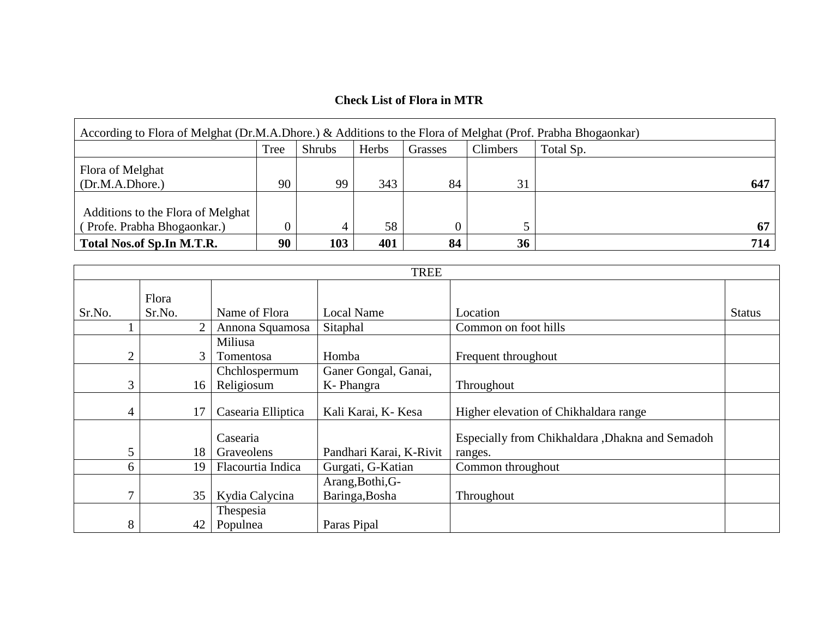## **Check List of Flora in MTR**

| According to Flora of Melghat (Dr.M.A.Dhore.) & Additions to the Flora of Melghat (Prof. Prabha Bhogaonkar) |      |               |       |         |          |           |     |  |
|-------------------------------------------------------------------------------------------------------------|------|---------------|-------|---------|----------|-----------|-----|--|
|                                                                                                             | Tree | <b>Shrubs</b> | Herbs | Grasses | Climbers | Total Sp. |     |  |
| Flora of Melghat                                                                                            |      |               |       |         |          |           |     |  |
| (Dr.M.A.Dhore.)                                                                                             | 90   | 99            | 343   | 84      | 31       |           | 647 |  |
|                                                                                                             |      |               |       |         |          |           |     |  |
| Additions to the Flora of Melghat                                                                           |      |               | 58    |         |          |           |     |  |
| (Profe. Prabha Bhogaonkar.)                                                                                 |      |               |       |         |          |           | 67  |  |
| Total Nos.of Sp.In M.T.R.                                                                                   | 90   | 103           | 401   | 84      | 36       |           | 714 |  |

|                | <b>TREE</b> |                |                    |                         |                                                  |               |  |  |
|----------------|-------------|----------------|--------------------|-------------------------|--------------------------------------------------|---------------|--|--|
|                | Flora       |                |                    |                         |                                                  |               |  |  |
| Sr.No.         | Sr.No.      |                | Name of Flora      | <b>Local Name</b>       | Location                                         | <b>Status</b> |  |  |
|                |             | $\overline{2}$ | Annona Squamosa    | Sitaphal                | Common on foot hills                             |               |  |  |
|                |             |                | Miliusa            |                         |                                                  |               |  |  |
| $\overline{2}$ |             | 3              | Tomentosa          | Homba                   | Frequent throughout                              |               |  |  |
|                |             |                | Chchlospermum      | Ganer Gongal, Ganai,    |                                                  |               |  |  |
| 3              |             | 16             | Religiosum         | K-Phangra               | Throughout                                       |               |  |  |
|                |             |                |                    |                         |                                                  |               |  |  |
| $\overline{4}$ |             | 17             | Casearia Elliptica | Kali Karai, K- Kesa     | Higher elevation of Chikhaldara range            |               |  |  |
|                |             |                | Casearia           |                         | Especially from Chikhaldara , Dhakna and Semadoh |               |  |  |
| 5              |             | 18             | Graveolens         | Pandhari Karai, K-Rivit | ranges.                                          |               |  |  |
| 6              |             | 19             | Flacourtia Indica  | Gurgati, G-Katian       | Common throughout                                |               |  |  |
|                |             |                |                    | Arang, Bothi, G-        |                                                  |               |  |  |
| $\tau$         |             | 35             | Kydia Calycina     | Baringa, Bosha          | Throughout                                       |               |  |  |
|                |             |                | Thespesia          |                         |                                                  |               |  |  |
| 8              |             | 42             | Populnea           | Paras Pipal             |                                                  |               |  |  |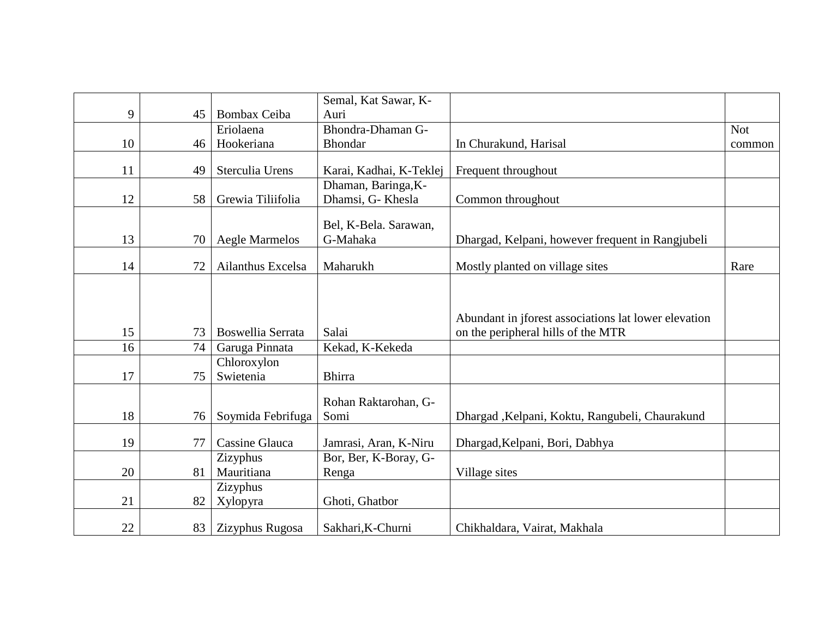|    |    |                       | Semal, Kat Sawar, K-    |                                                      |            |
|----|----|-----------------------|-------------------------|------------------------------------------------------|------------|
| 9  | 45 | <b>Bombax Ceiba</b>   | Auri                    |                                                      |            |
|    |    | Eriolaena             | Bhondra-Dhaman G-       |                                                      | <b>Not</b> |
| 10 | 46 | Hookeriana            | <b>Bhondar</b>          | In Churakund, Harisal                                | common     |
|    |    |                       |                         |                                                      |            |
| 11 | 49 | Sterculia Urens       | Karai, Kadhai, K-Teklej | Frequent throughout                                  |            |
|    |    |                       | Dhaman, Baringa, K-     |                                                      |            |
| 12 | 58 | Grewia Tiliifolia     | Dhamsi, G- Khesla       | Common throughout                                    |            |
|    |    |                       |                         |                                                      |            |
|    |    |                       | Bel, K-Bela. Sarawan,   |                                                      |            |
| 13 | 70 | <b>Aegle Marmelos</b> | G-Mahaka                | Dhargad, Kelpani, however frequent in Rangjubeli     |            |
| 14 | 72 | Ailanthus Excelsa     | Maharukh                | Mostly planted on village sites                      | Rare       |
|    |    |                       |                         |                                                      |            |
|    |    |                       |                         |                                                      |            |
|    |    |                       |                         |                                                      |            |
|    |    |                       |                         | Abundant in jforest associations lat lower elevation |            |
| 15 | 73 | Boswellia Serrata     | Salai                   | on the peripheral hills of the MTR                   |            |
| 16 | 74 | Garuga Pinnata        | Kekad, K-Kekeda         |                                                      |            |
|    |    | Chloroxylon           |                         |                                                      |            |
| 17 | 75 | Swietenia             | Bhirra                  |                                                      |            |
|    |    |                       | Rohan Raktarohan, G-    |                                                      |            |
| 18 | 76 | Soymida Febrifuga     | Somi                    | Dhargad , Kelpani, Koktu, Rangubeli, Chaurakund      |            |
|    |    |                       |                         |                                                      |            |
| 19 | 77 | Cassine Glauca        | Jamrasi, Aran, K-Niru   | Dhargad, Kelpani, Bori, Dabhya                       |            |
|    |    | Zizyphus              | Bor, Ber, K-Boray, G-   |                                                      |            |
| 20 | 81 | Mauritiana            | Renga                   | Village sites                                        |            |
|    |    | Zizyphus              |                         |                                                      |            |
| 21 | 82 | Xylopyra              | Ghoti, Ghatbor          |                                                      |            |
|    |    |                       |                         |                                                      |            |
| 22 | 83 | Zizyphus Rugosa       | Sakhari, K-Churni       | Chikhaldara, Vairat, Makhala                         |            |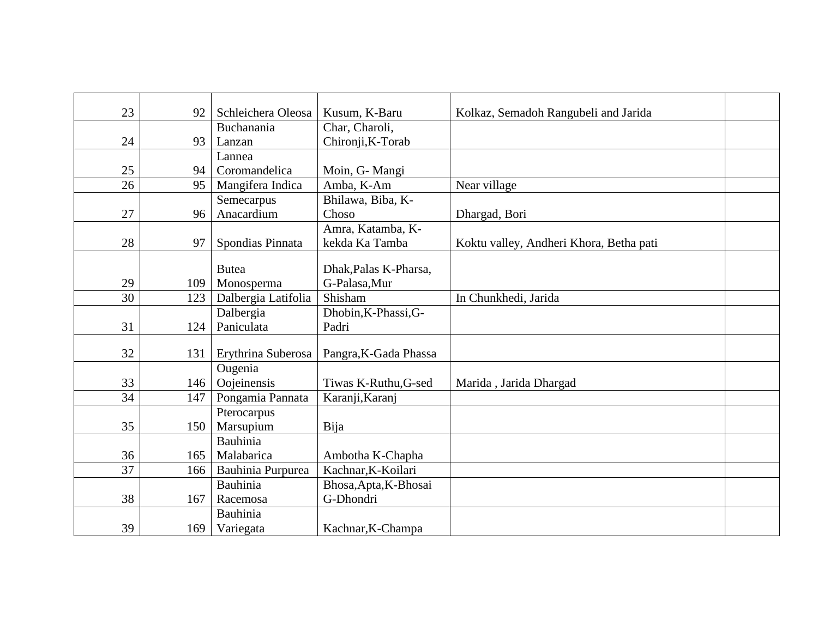| 23              | 92  | Schleichera Oleosa  | Kusum, K-Baru         | Kolkaz, Semadoh Rangubeli and Jarida    |  |
|-----------------|-----|---------------------|-----------------------|-----------------------------------------|--|
|                 |     | Buchanania          | Char, Charoli,        |                                         |  |
| 24              | 93  | Lanzan              | Chironji, K-Torab     |                                         |  |
|                 |     | Lannea              |                       |                                         |  |
| 25              | 94  | Coromandelica       | Moin, G- Mangi        |                                         |  |
| $\overline{26}$ | 95  | Mangifera Indica    | Amba, K-Am            | Near village                            |  |
|                 |     | Semecarpus          | Bhilawa, Biba, K-     |                                         |  |
| 27              | 96  | Anacardium          | Choso                 | Dhargad, Bori                           |  |
|                 |     |                     | Amra, Katamba, K-     |                                         |  |
| 28              | 97  | Spondias Pinnata    | kekda Ka Tamba        | Koktu valley, Andheri Khora, Betha pati |  |
|                 |     |                     |                       |                                         |  |
|                 |     | <b>Butea</b>        | Dhak, Palas K-Pharsa, |                                         |  |
| 29              | 109 | Monosperma          | G-Palasa, Mur         |                                         |  |
| $\overline{30}$ | 123 | Dalbergia Latifolia | Shisham               | In Chunkhedi, Jarida                    |  |
|                 |     | Dalbergia           | Dhobin, K-Phassi, G-  |                                         |  |
| 31              | 124 | Paniculata          | Padri                 |                                         |  |
|                 |     |                     |                       |                                         |  |
| 32              | 131 | Erythrina Suberosa  | Pangra, K-Gada Phassa |                                         |  |
|                 |     | Ougenia             |                       |                                         |  |
| 33              | 146 | Oojeinensis         | Tiwas K-Ruthu, G-sed  | Marida, Jarida Dhargad                  |  |
| 34              | 147 | Pongamia Pannata    | Karanji, Karanj       |                                         |  |
|                 |     | Pterocarpus         |                       |                                         |  |
| 35              | 150 | Marsupium           | Bija                  |                                         |  |
|                 |     | Bauhinia            |                       |                                         |  |
| 36              | 165 | Malabarica          | Ambotha K-Chapha      |                                         |  |
| 37              | 166 | Bauhinia Purpurea   | Kachnar, K-Koilari    |                                         |  |
|                 |     | Bauhinia            | Bhosa, Apta, K-Bhosai |                                         |  |
| 38              | 167 | Racemosa            | G-Dhondri             |                                         |  |
|                 |     | Bauhinia            |                       |                                         |  |
| 39              | 169 | Variegata           | Kachnar, K-Champa     |                                         |  |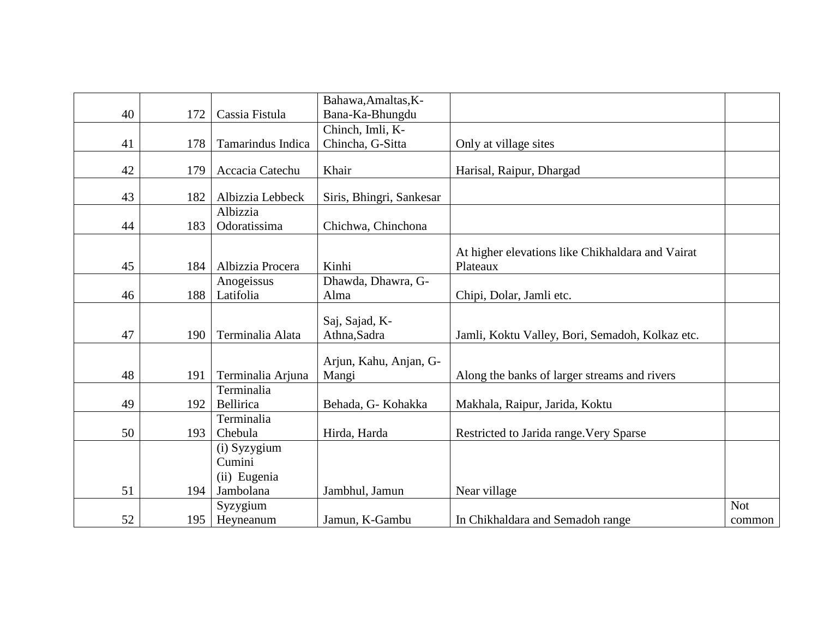|    |     |                   | Bahawa, Amaltas, K-      |                                                  |            |
|----|-----|-------------------|--------------------------|--------------------------------------------------|------------|
| 40 | 172 | Cassia Fistula    | Bana-Ka-Bhungdu          |                                                  |            |
|    |     |                   | Chinch, Imli, K-         |                                                  |            |
| 41 | 178 | Tamarindus Indica | Chincha, G-Sitta         | Only at village sites                            |            |
|    |     |                   |                          |                                                  |            |
| 42 | 179 | Accacia Catechu   | Khair                    | Harisal, Raipur, Dhargad                         |            |
| 43 | 182 | Albizzia Lebbeck  | Siris, Bhingri, Sankesar |                                                  |            |
|    |     | Albizzia          |                          |                                                  |            |
| 44 | 183 | Odoratissima      | Chichwa, Chinchona       |                                                  |            |
|    |     |                   |                          | At higher elevations like Chikhaldara and Vairat |            |
| 45 | 184 | Albizzia Procera  | Kinhi                    | Plateaux                                         |            |
|    |     | Anogeissus        | Dhawda, Dhawra, G-       |                                                  |            |
| 46 | 188 | Latifolia         | Alma                     | Chipi, Dolar, Jamli etc.                         |            |
|    |     |                   | Saj, Sajad, K-           |                                                  |            |
| 47 | 190 | Terminalia Alata  | Athna, Sadra             | Jamli, Koktu Valley, Bori, Semadoh, Kolkaz etc.  |            |
|    |     |                   |                          |                                                  |            |
|    |     |                   | Arjun, Kahu, Anjan, G-   |                                                  |            |
| 48 | 191 | Terminalia Arjuna | Mangi                    | Along the banks of larger streams and rivers     |            |
|    |     | Terminalia        |                          |                                                  |            |
| 49 | 192 | Bellirica         | Behada, G- Kohakka       | Makhala, Raipur, Jarida, Koktu                   |            |
|    |     | Terminalia        |                          |                                                  |            |
| 50 | 193 | Chebula           | Hirda, Harda             | Restricted to Jarida range. Very Sparse          |            |
|    |     | (i) Syzygium      |                          |                                                  |            |
|    |     | Cumini            |                          |                                                  |            |
|    |     | (ii) Eugenia      |                          |                                                  |            |
| 51 | 194 | Jambolana         | Jambhul, Jamun           | Near village                                     |            |
|    |     | Syzygium          |                          |                                                  | <b>Not</b> |
| 52 | 195 | Heyneanum         | Jamun, K-Gambu           | In Chikhaldara and Semadoh range                 | common     |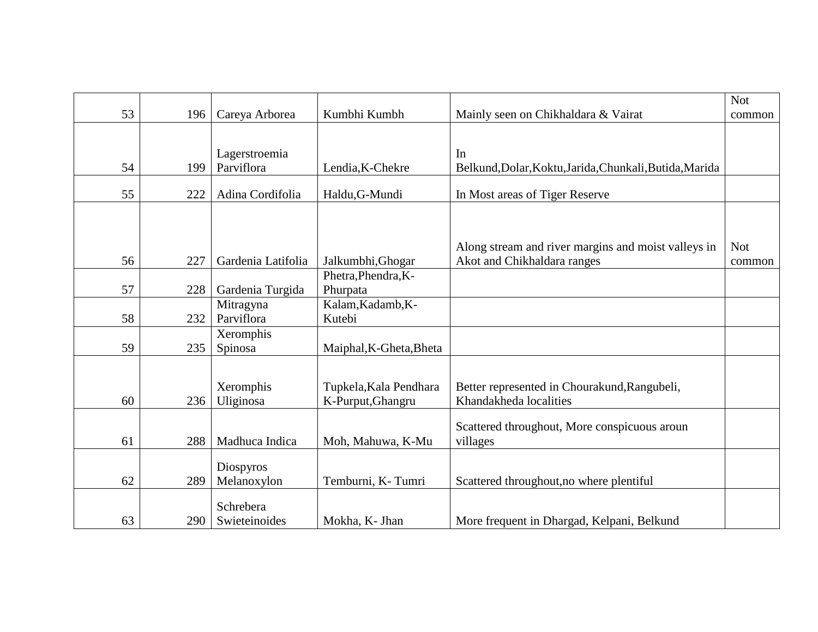|    |     |                          |                         |                                                         | <b>Not</b> |
|----|-----|--------------------------|-------------------------|---------------------------------------------------------|------------|
| 53 | 196 | Careya Arborea           | Kumbhi Kumbh            | Mainly seen on Chikhaldara & Vairat                     | common     |
|    |     |                          |                         |                                                         |            |
|    |     | Lagerstroemia            |                         | In                                                      |            |
| 54 | 199 | Parviflora               | Lendia, K-Chekre        | Belkund, Dolar, Koktu, Jarida, Chunkali, Butida, Marida |            |
|    |     |                          |                         |                                                         |            |
| 55 | 222 | Adina Cordifolia         | Haldu, G-Mundi          | In Most areas of Tiger Reserve                          |            |
|    |     |                          |                         |                                                         |            |
|    |     |                          |                         |                                                         |            |
|    |     |                          |                         | Along stream and river margins and moist valleys in     | <b>Not</b> |
| 56 | 227 | Gardenia Latifolia       | Jalkumbhi, Ghogar       | Akot and Chikhaldara ranges                             | common     |
|    |     |                          | Phetra, Phendra, K-     |                                                         |            |
| 57 | 228 | Gardenia Turgida         | Phurpata                |                                                         |            |
|    |     | Mitragyna                | Kalam, Kadamb, K-       |                                                         |            |
| 58 | 232 | Parviflora               | Kutebi                  |                                                         |            |
|    |     | Xeromphis                |                         |                                                         |            |
| 59 | 235 | Spinosa                  | Maiphal, K-Gheta, Bheta |                                                         |            |
|    |     |                          |                         |                                                         |            |
|    |     | Xeromphis                | Tupkela, Kala Pendhara  | Better represented in Chourakund, Rangubeli,            |            |
| 60 | 236 | Uliginosa                | K-Purput, Ghangru       | Khandakheda localities                                  |            |
|    |     |                          |                         |                                                         |            |
|    |     |                          |                         | Scattered throughout, More conspicuous aroun            |            |
| 61 | 288 | Madhuca Indica           | Moh, Mahuwa, K-Mu       | villages                                                |            |
|    |     |                          |                         |                                                         |            |
| 62 | 289 | Diospyros<br>Melanoxylon | Temburni, K-Tumri       | Scattered throughout, no where plentiful                |            |
|    |     |                          |                         |                                                         |            |
|    |     | Schrebera                |                         |                                                         |            |
| 63 | 290 | Swieteinoides            | Mokha, K- Jhan          | More frequent in Dhargad, Kelpani, Belkund              |            |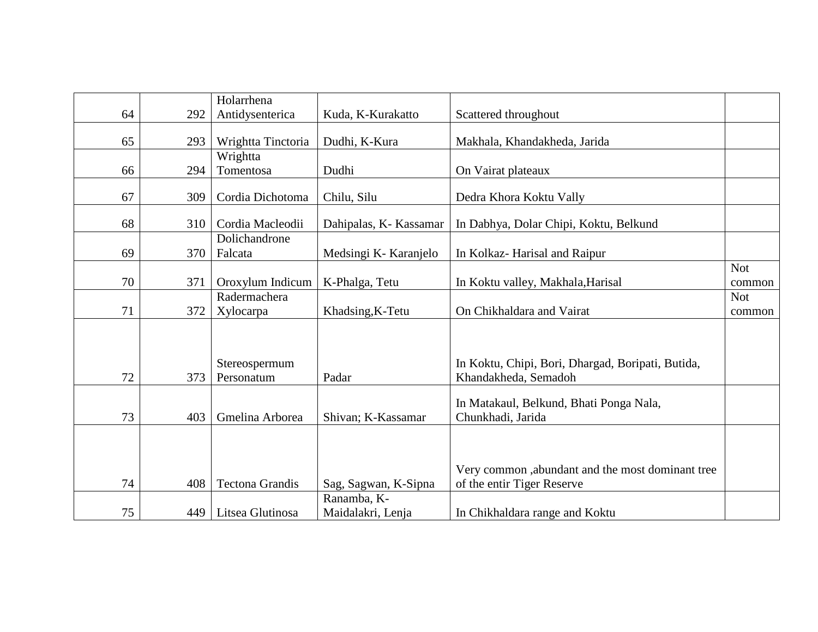|    |     | Holarrhena               |                        |                                                   |            |
|----|-----|--------------------------|------------------------|---------------------------------------------------|------------|
| 64 | 292 | Antidysenterica          | Kuda, K-Kurakatto      | Scattered throughout                              |            |
| 65 | 293 | Wrightta Tinctoria       | Dudhi, K-Kura          | Makhala, Khandakheda, Jarida                      |            |
|    |     | Wrightta                 |                        |                                                   |            |
| 66 | 294 | Tomentosa                | Dudhi                  | On Vairat plateaux                                |            |
| 67 | 309 | Cordia Dichotoma         | Chilu, Silu            | Dedra Khora Koktu Vally                           |            |
| 68 | 310 | Cordia Macleodii         | Dahipalas, K- Kassamar | In Dabhya, Dolar Chipi, Koktu, Belkund            |            |
| 69 | 370 | Dolichandrone<br>Falcata | Medsingi K- Karanjelo  | In Kolkaz-Harisal and Raipur                      |            |
|    |     |                          |                        |                                                   | <b>Not</b> |
| 70 | 371 | Oroxylum Indicum         | K-Phalga, Tetu         | In Koktu valley, Makhala, Harisal                 | common     |
|    |     | Radermachera             |                        |                                                   | <b>Not</b> |
| 71 | 372 | Xylocarpa                | Khadsing, K-Tetu       | On Chikhaldara and Vairat                         | common     |
|    |     |                          |                        |                                                   |            |
|    |     |                          |                        |                                                   |            |
|    |     | Stereospermum            |                        | In Koktu, Chipi, Bori, Dhargad, Boripati, Butida, |            |
| 72 | 373 | Personatum               | Padar                  | Khandakheda, Semadoh                              |            |
|    |     |                          |                        |                                                   |            |
|    |     |                          |                        | In Matakaul, Belkund, Bhati Ponga Nala,           |            |
| 73 | 403 | Gmelina Arborea          | Shivan; K-Kassamar     | Chunkhadi, Jarida                                 |            |
|    |     |                          |                        |                                                   |            |
|    |     |                          |                        |                                                   |            |
|    |     |                          |                        | Very common , abundant and the most dominant tree |            |
| 74 | 408 | <b>Tectona Grandis</b>   | Sag, Sagwan, K-Sipna   | of the entir Tiger Reserve                        |            |
|    |     |                          | Ranamba, K-            |                                                   |            |
| 75 | 449 | Litsea Glutinosa         | Maidalakri, Lenja      | In Chikhaldara range and Koktu                    |            |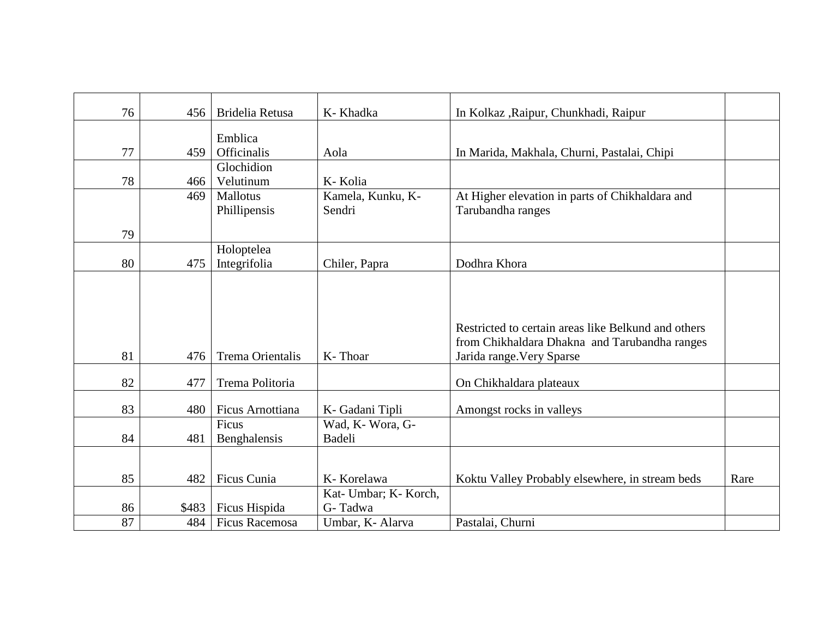| 76 | 456   | Bridelia Retusa         | K- Khadka             | In Kolkaz , Raipur, Chunkhadi, Raipur               |      |
|----|-------|-------------------------|-----------------------|-----------------------------------------------------|------|
|    |       |                         |                       |                                                     |      |
|    |       | Emblica                 |                       |                                                     |      |
| 77 | 459   | <b>Officinalis</b>      | Aola                  | In Marida, Makhala, Churni, Pastalai, Chipi         |      |
|    |       | Glochidion              |                       |                                                     |      |
| 78 | 466   | Velutinum               | K-Kolia               |                                                     |      |
|    | 469   | Mallotus                | Kamela, Kunku, K-     | At Higher elevation in parts of Chikhaldara and     |      |
|    |       | Phillipensis            | Sendri                | Tarubandha ranges                                   |      |
|    |       |                         |                       |                                                     |      |
| 79 |       |                         |                       |                                                     |      |
|    |       | Holoptelea              |                       |                                                     |      |
| 80 | 475   | Integrifolia            | Chiler, Papra         | Dodhra Khora                                        |      |
|    |       |                         |                       |                                                     |      |
|    |       |                         |                       |                                                     |      |
|    |       |                         |                       |                                                     |      |
|    |       |                         |                       | Restricted to certain areas like Belkund and others |      |
|    |       |                         |                       | from Chikhaldara Dhakna and Tarubandha ranges       |      |
| 81 | 476   | <b>Trema Orientalis</b> | K-Thoar               | Jarida range. Very Sparse                           |      |
|    |       |                         |                       |                                                     |      |
| 82 | 477   | Trema Politoria         |                       | On Chikhaldara plateaux                             |      |
|    |       |                         |                       |                                                     |      |
| 83 | 480   | <b>Ficus Arnottiana</b> | K- Gadani Tipli       | Amongst rocks in valleys                            |      |
|    |       | Ficus                   | Wad, K-Wora, G-       |                                                     |      |
| 84 | 481   | Benghalensis            | <b>Badeli</b>         |                                                     |      |
|    |       |                         |                       |                                                     |      |
|    |       |                         |                       |                                                     |      |
| 85 | 482   | Ficus Cunia             | K-Korelawa            | Koktu Valley Probably elsewhere, in stream beds     | Rare |
|    |       |                         | Kat- Umbar; K- Korch, |                                                     |      |
| 86 | \$483 | Ficus Hispida           | G-Tadwa               |                                                     |      |
| 87 | 484   | Ficus Racemosa          | Umbar, K- Alarva      | Pastalai, Churni                                    |      |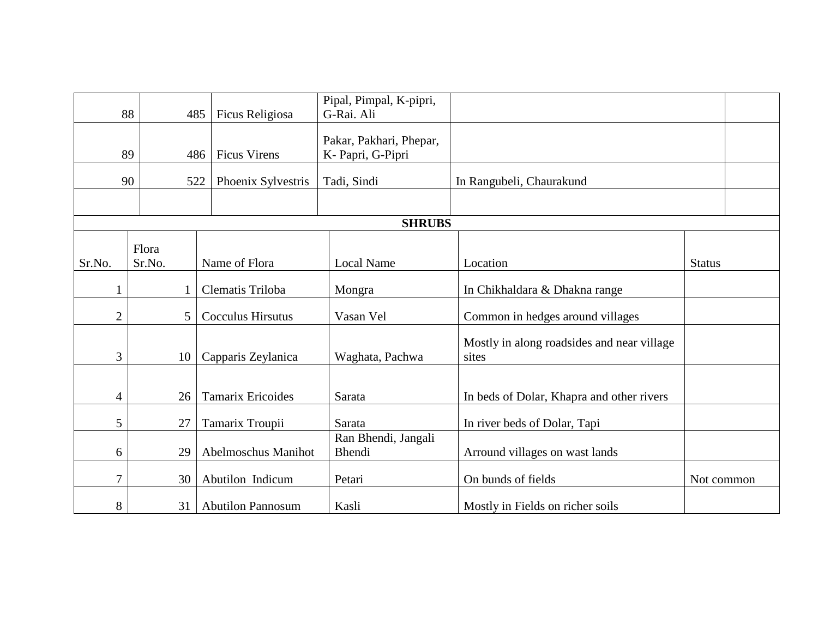|        | 88     | 485<br>Ficus Religiosa     | Pipal, Pimpal, K-pipri,<br>G-Rai. Ali       |                                                     |               |
|--------|--------|----------------------------|---------------------------------------------|-----------------------------------------------------|---------------|
|        | 89     | <b>Ficus Virens</b><br>486 | Pakar, Pakhari, Phepar,<br>K-Papri, G-Pipri |                                                     |               |
|        | 90     | 522<br>Phoenix Sylvestris  | Tadi, Sindi                                 | In Rangubeli, Chaurakund                            |               |
|        |        |                            |                                             |                                                     |               |
|        |        |                            | <b>SHRUBS</b>                               |                                                     |               |
|        | Flora  |                            |                                             |                                                     |               |
| Sr.No. | Sr.No. | Name of Flora              | <b>Local Name</b>                           | Location                                            | <b>Status</b> |
|        |        | Clematis Triloba           | Mongra                                      | In Chikhaldara & Dhakna range                       |               |
| 2      | 5      | <b>Cocculus Hirsutus</b>   | Vasan Vel                                   | Common in hedges around villages                    |               |
| 3      | 10     | Capparis Zeylanica         | Waghata, Pachwa                             | Mostly in along roadsides and near village<br>sites |               |
| 4      | 26     | <b>Tamarix Ericoides</b>   | Sarata                                      | In beds of Dolar, Khapra and other rivers           |               |
| 5      | 27     | Tamarix Troupii            | Sarata                                      | In river beds of Dolar, Tapi                        |               |
| 6      | 29     | <b>Abelmoschus Manihot</b> | Ran Bhendi, Jangali<br>Bhendi               | Arround villages on wast lands                      |               |
| 7      | 30     | Abutilon Indicum           | Petari                                      | On bunds of fields                                  | Not common    |
| 8      | 31     | <b>Abutilon Pannosum</b>   | Kasli                                       | Mostly in Fields on richer soils                    |               |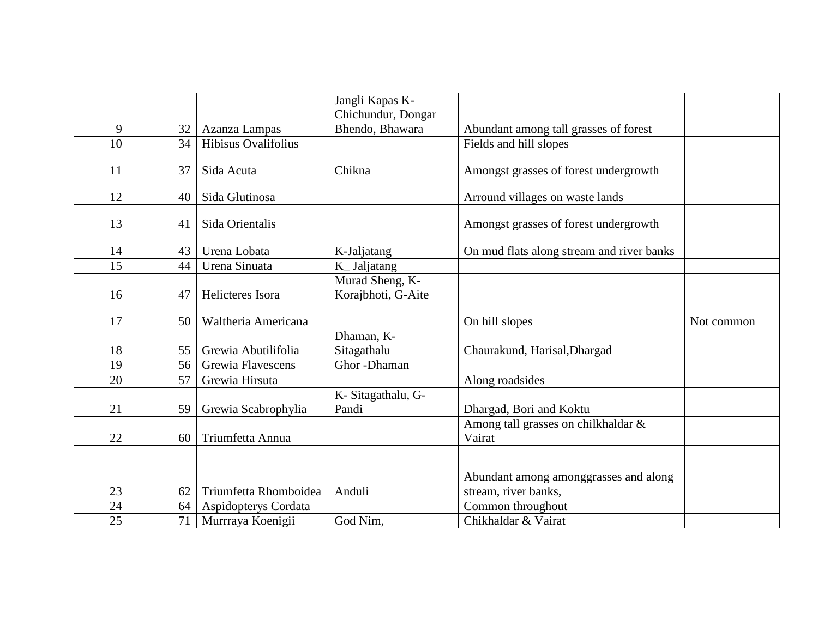|    |          |                            | Jangli Kapas K-            |                                               |            |
|----|----------|----------------------------|----------------------------|-----------------------------------------------|------------|
|    |          |                            | Chichundur, Dongar         |                                               |            |
| 9  | 32       | Azanza Lampas              | Bhendo, Bhawara            | Abundant among tall grasses of forest         |            |
| 10 | 34       | <b>Hibisus Ovalifolius</b> |                            | Fields and hill slopes                        |            |
| 11 | 37       | Sida Acuta                 | Chikna                     | Amongst grasses of forest undergrowth         |            |
|    |          |                            |                            |                                               |            |
| 12 | 40       | Sida Glutinosa             |                            | Arround villages on waste lands               |            |
| 13 | 41       | Sida Orientalis            |                            | Amongst grasses of forest undergrowth         |            |
| 14 | 43       | Urena Lobata               | K-Jaljatang                | On mud flats along stream and river banks     |            |
| 15 | 44       | Urena Sinuata              | K_Jaljatang                |                                               |            |
|    |          |                            | Murad Sheng, K-            |                                               |            |
| 16 | 47       | Helicteres Isora           | Korajbhoti, G-Aite         |                                               |            |
|    |          |                            |                            |                                               |            |
|    |          |                            |                            |                                               |            |
| 17 | 50       | Waltheria Americana        |                            | On hill slopes                                | Not common |
|    |          |                            | Dhaman, K-                 |                                               |            |
| 18 | 55       | Grewia Abutilifolia        | Sitagathalu                | Chaurakund, Harisal, Dhargad                  |            |
| 19 | 56       | Grewia Flavescens          | Ghor-Dhaman                |                                               |            |
| 20 | 57       | Grewia Hirsuta             |                            | Along roadsides                               |            |
|    |          |                            |                            |                                               |            |
| 21 | 59       |                            | K-Sitagathalu, G-<br>Pandi |                                               |            |
|    |          | Grewia Scabrophylia        |                            | Dhargad, Bori and Koktu                       |            |
| 22 | 60       | Triumfetta Annua           |                            | Among tall grasses on chilkhaldar &<br>Vairat |            |
|    |          |                            |                            |                                               |            |
|    |          |                            |                            |                                               |            |
|    |          |                            |                            | Abundant among amonggrasses and along         |            |
| 23 | 62       | Triumfetta Rhomboidea      | Anduli                     | stream, river banks,                          |            |
| 24 | 64<br>71 | Aspidopterys Cordata       |                            | Common throughout<br>Chikhaldar & Vairat      |            |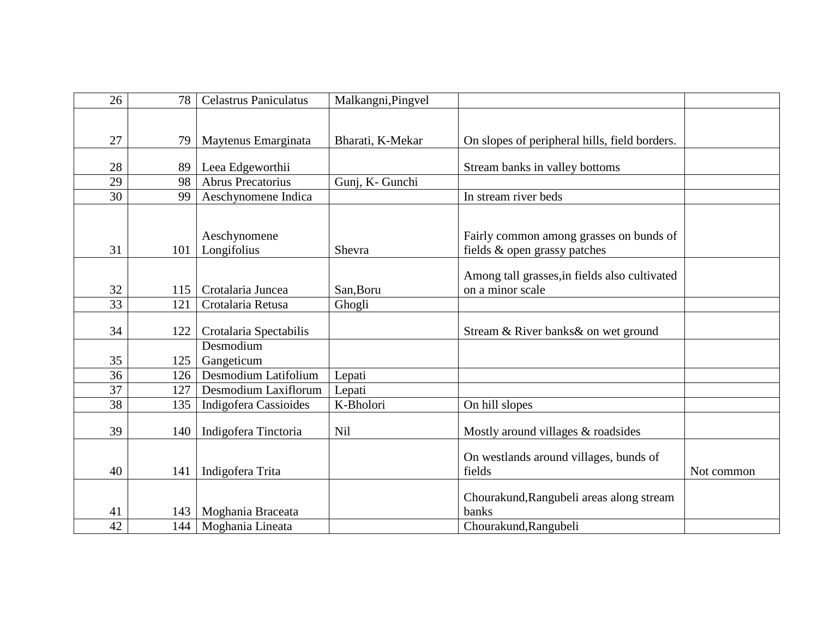| 26 | 78  | <b>Celastrus Paniculatus</b> | Malkangni, Pingvel |                                               |            |
|----|-----|------------------------------|--------------------|-----------------------------------------------|------------|
|    |     |                              |                    |                                               |            |
| 27 | 79  | Maytenus Emarginata          | Bharati, K-Mekar   | On slopes of peripheral hills, field borders. |            |
|    |     |                              |                    |                                               |            |
| 28 | 89  | Leea Edgeworthii             |                    | Stream banks in valley bottoms                |            |
| 29 | 98  | Abrus Precatorius            | Gunj, K- Gunchi    |                                               |            |
| 30 | 99  | Aeschynomene Indica          |                    | In stream river beds                          |            |
|    |     |                              |                    |                                               |            |
|    |     |                              |                    |                                               |            |
|    |     | Aeschynomene                 |                    | Fairly common among grasses on bunds of       |            |
| 31 | 101 | Longifolius                  | Shevra             | fields & open grassy patches                  |            |
|    |     |                              |                    | Among tall grasses, in fields also cultivated |            |
| 32 | 115 | Crotalaria Juncea            | San, Boru          | on a minor scale                              |            |
| 33 | 121 | Crotalaria Retusa            | Ghogli             |                                               |            |
|    |     |                              |                    |                                               |            |
| 34 | 122 | Crotalaria Spectabilis       |                    | Stream & River banks& on wet ground           |            |
|    |     | Desmodium                    |                    |                                               |            |
| 35 | 125 | Gangeticum                   |                    |                                               |            |
| 36 | 126 | Desmodium Latifolium         | Lepati             |                                               |            |
| 37 | 127 | Desmodium Laxiflorum         | Lepati             |                                               |            |
| 38 | 135 | Indigofera Cassioides        | K-Bholori          | On hill slopes                                |            |
|    |     |                              |                    |                                               |            |
| 39 | 140 | Indigofera Tinctoria         | <b>Nil</b>         | Mostly around villages & roadsides            |            |
|    |     |                              |                    |                                               |            |
|    |     |                              |                    | On westlands around villages, bunds of        |            |
| 40 | 141 | Indigofera Trita             |                    | fields                                        | Not common |
|    |     |                              |                    | Chourakund, Rangubeli areas along stream      |            |
| 41 | 143 | Moghania Braceata            |                    | banks                                         |            |
| 42 | 144 | Moghania Lineata             |                    | Chourakund, Rangubeli                         |            |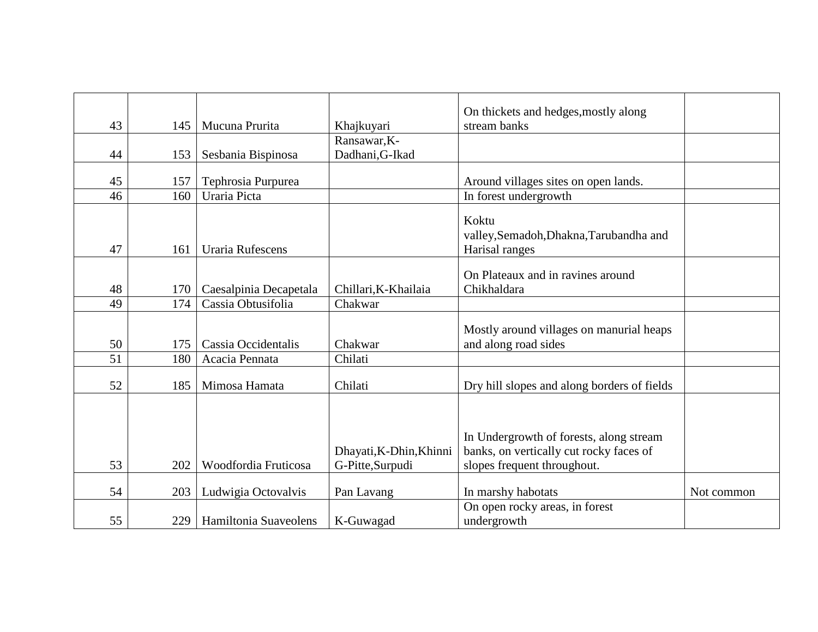| 43 | 145 | Mucuna Prurita          | Khajkuyari                                  | On thickets and hedges, mostly along<br>stream banks                                                              |            |
|----|-----|-------------------------|---------------------------------------------|-------------------------------------------------------------------------------------------------------------------|------------|
|    |     |                         | Ransawar, K-                                |                                                                                                                   |            |
| 44 | 153 | Sesbania Bispinosa      | Dadhani, G-Ikad                             |                                                                                                                   |            |
|    |     |                         |                                             |                                                                                                                   |            |
| 45 | 157 | Tephrosia Purpurea      |                                             | Around villages sites on open lands.                                                                              |            |
| 46 | 160 | Uraria Picta            |                                             | In forest undergrowth                                                                                             |            |
| 47 | 161 | <b>Uraria Rufescens</b> |                                             | Koktu<br>valley, Semadoh, Dhakna, Tarubandha and<br>Harisal ranges                                                |            |
| 48 | 170 | Caesalpinia Decapetala  | Chillari, K-Khailaia                        | On Plateaux and in ravines around<br>Chikhaldara                                                                  |            |
| 49 | 174 | Cassia Obtusifolia      | Chakwar                                     |                                                                                                                   |            |
| 50 | 175 | Cassia Occidentalis     | Chakwar                                     | Mostly around villages on manurial heaps<br>and along road sides                                                  |            |
| 51 | 180 | Acacia Pennata          | Chilati                                     |                                                                                                                   |            |
| 52 | 185 | Mimosa Hamata           | Chilati                                     | Dry hill slopes and along borders of fields                                                                       |            |
| 53 | 202 | Woodfordia Fruticosa    | Dhayati, K-Dhin, Khinni<br>G-Pitte, Surpudi | In Undergrowth of forests, along stream<br>banks, on vertically cut rocky faces of<br>slopes frequent throughout. |            |
| 54 | 203 | Ludwigia Octovalvis     | Pan Lavang                                  | In marshy habotats                                                                                                | Not common |
| 55 | 229 | Hamiltonia Suaveolens   | K-Guwagad                                   | On open rocky areas, in forest<br>undergrowth                                                                     |            |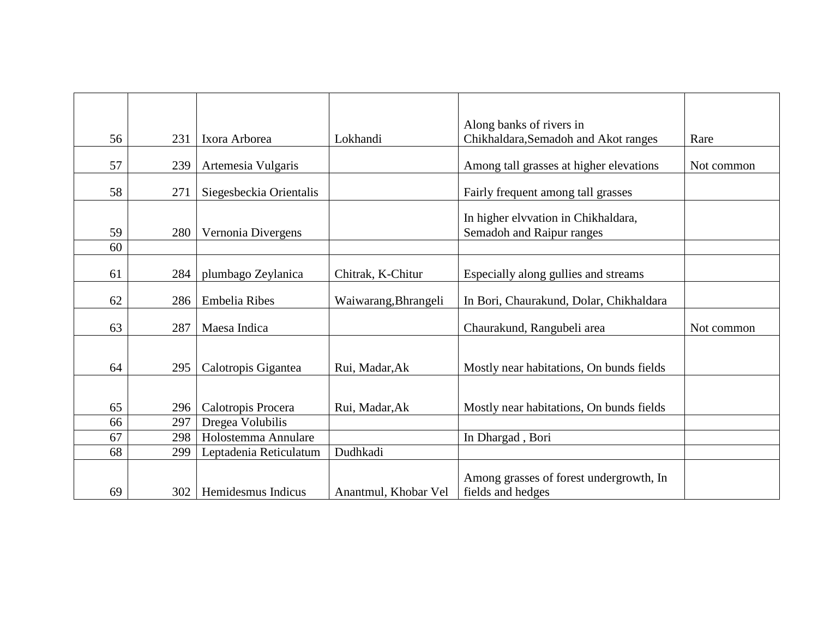| 56 | 231 | Ixora Arborea           | Lokhandi             | Along banks of rivers in<br>Chikhaldara, Semadoh and Akot ranges | Rare       |
|----|-----|-------------------------|----------------------|------------------------------------------------------------------|------------|
|    |     |                         |                      |                                                                  |            |
| 57 | 239 | Artemesia Vulgaris      |                      | Among tall grasses at higher elevations                          | Not common |
| 58 | 271 | Siegesbeckia Orientalis |                      | Fairly frequent among tall grasses                               |            |
| 59 | 280 | Vernonia Divergens      |                      | In higher elvvation in Chikhaldara,<br>Semadoh and Raipur ranges |            |
| 60 |     |                         |                      |                                                                  |            |
| 61 | 284 | plumbago Zeylanica      | Chitrak, K-Chitur    | Especially along gullies and streams                             |            |
| 62 | 286 | <b>Embelia Ribes</b>    | Waiwarang, Bhrangeli | In Bori, Chaurakund, Dolar, Chikhaldara                          |            |
| 63 | 287 | Maesa Indica            |                      | Chaurakund, Rangubeli area                                       | Not common |
| 64 | 295 | Calotropis Gigantea     | Rui, Madar, Ak       | Mostly near habitations, On bunds fields                         |            |
| 65 | 296 | Calotropis Procera      | Rui, Madar, Ak       | Mostly near habitations, On bunds fields                         |            |
| 66 | 297 | Dregea Volubilis        |                      |                                                                  |            |
| 67 | 298 | Holostemma Annulare     |                      | In Dhargad, Bori                                                 |            |
| 68 | 299 | Leptadenia Reticulatum  | Dudhkadi             |                                                                  |            |
| 69 | 302 | Hemidesmus Indicus      | Anantmul, Khobar Vel | Among grasses of forest undergrowth, In<br>fields and hedges     |            |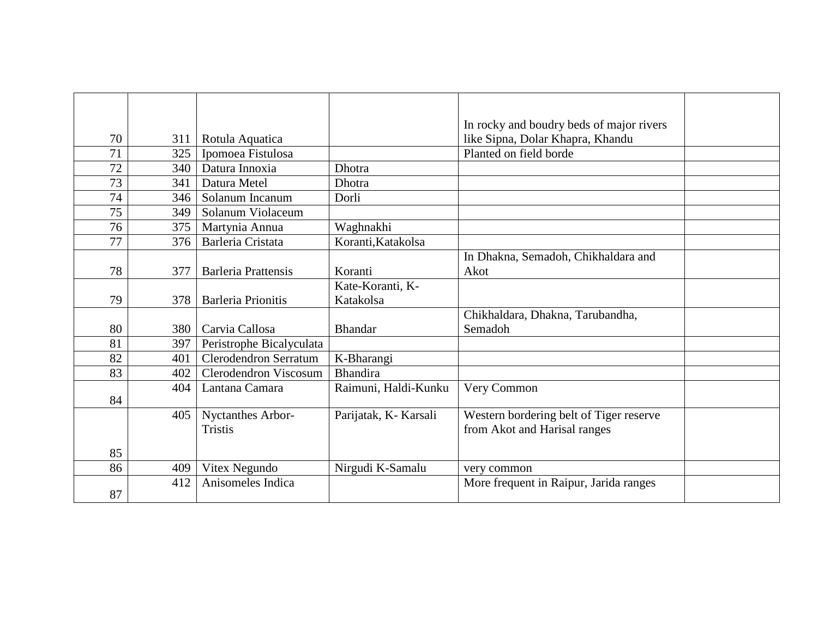|                 |     |                            |                       | In rocky and boudry beds of major rivers |  |
|-----------------|-----|----------------------------|-----------------------|------------------------------------------|--|
| 70              | 311 | Rotula Aquatica            |                       | like Sipna, Dolar Khapra, Khandu         |  |
| $\overline{71}$ | 325 | Ipomoea Fistulosa          |                       | Planted on field borde                   |  |
| 72              | 340 | Datura Innoxia             | <b>Dhotra</b>         |                                          |  |
| 73              | 341 | Datura Metel               | <b>Dhotra</b>         |                                          |  |
| 74              | 346 | Solanum Incanum            | Dorli                 |                                          |  |
| 75              | 349 | Solanum Violaceum          |                       |                                          |  |
| 76              | 375 | Martynia Annua             | Waghnakhi             |                                          |  |
| 77              | 376 | Barleria Cristata          | Koranti, Katakolsa    |                                          |  |
|                 |     |                            |                       | In Dhakna, Semadoh, Chikhaldara and      |  |
| 78              | 377 | <b>Barleria Prattensis</b> | Koranti               | Akot                                     |  |
|                 |     |                            | Kate-Koranti, K-      |                                          |  |
| 79              | 378 | <b>Barleria Prionitis</b>  | Katakolsa             |                                          |  |
|                 |     |                            |                       | Chikhaldara, Dhakna, Tarubandha,         |  |
| 80              | 380 | Carvia Callosa             | <b>Bhandar</b>        | Semadoh                                  |  |
| 81              | 397 | Peristrophe Bicalyculata   |                       |                                          |  |
| 82              | 401 | Clerodendron Serratum      | K-Bharangi            |                                          |  |
| 83              | 402 | Clerodendron Viscosum      | <b>Bhandira</b>       |                                          |  |
|                 | 404 | Lantana Camara             | Raimuni, Haldi-Kunku  | Very Common                              |  |
| 84              |     |                            |                       |                                          |  |
|                 | 405 | Nyctanthes Arbor-          | Parijatak, K- Karsali | Western bordering belt of Tiger reserve  |  |
|                 |     | <b>Tristis</b>             |                       | from Akot and Harisal ranges             |  |
| 85              |     |                            |                       |                                          |  |
| 86              | 409 | Vitex Negundo              | Nirgudi K-Samalu      | very common                              |  |
|                 | 412 | Anisomeles Indica          |                       | More frequent in Raipur, Jarida ranges   |  |
| 87              |     |                            |                       |                                          |  |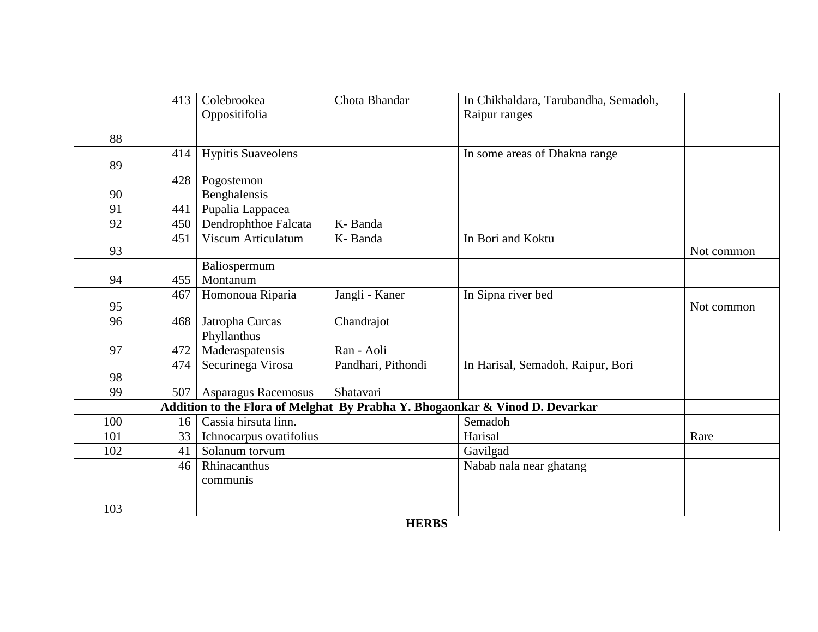|     | 413          | Colebrookea                | Chota Bhandar      | In Chikhaldara, Tarubandha, Semadoh,                                         |            |  |  |  |
|-----|--------------|----------------------------|--------------------|------------------------------------------------------------------------------|------------|--|--|--|
|     |              | Oppositifolia              |                    | Raipur ranges                                                                |            |  |  |  |
| 88  |              |                            |                    |                                                                              |            |  |  |  |
|     | 414          | <b>Hypitis Suaveolens</b>  |                    |                                                                              |            |  |  |  |
| 89  |              |                            |                    | In some areas of Dhakna range                                                |            |  |  |  |
|     | 428          | Pogostemon                 |                    |                                                                              |            |  |  |  |
| 90  |              | Benghalensis               |                    |                                                                              |            |  |  |  |
| 91  | 441          | Pupalia Lappacea           |                    |                                                                              |            |  |  |  |
| 92  | 450          | Dendrophthoe Falcata       | K-Banda            |                                                                              |            |  |  |  |
|     | 451          | Viscum Articulatum         | K-Banda            | In Bori and Koktu                                                            |            |  |  |  |
| 93  |              |                            |                    |                                                                              | Not common |  |  |  |
|     |              | Baliospermum               |                    |                                                                              |            |  |  |  |
| 94  | 455          | Montanum                   |                    |                                                                              |            |  |  |  |
|     | 467          | Homonoua Riparia           | Jangli - Kaner     | In Sipna river bed                                                           |            |  |  |  |
| 95  |              |                            |                    |                                                                              | Not common |  |  |  |
| 96  | 468          | Jatropha Curcas            | Chandrajot         |                                                                              |            |  |  |  |
|     |              | Phyllanthus                |                    |                                                                              |            |  |  |  |
| 97  | 472          | Maderaspatensis            | Ran - Aoli         |                                                                              |            |  |  |  |
|     | 474          | Securinega Virosa          | Pandhari, Pithondi | In Harisal, Semadoh, Raipur, Bori                                            |            |  |  |  |
| 98  |              |                            |                    |                                                                              |            |  |  |  |
| 99  | 507          | <b>Asparagus Racemosus</b> | Shatavari          |                                                                              |            |  |  |  |
|     |              |                            |                    | Addition to the Flora of Melghat By Prabha Y. Bhogaonkar & Vinod D. Devarkar |            |  |  |  |
| 100 | 16           | Cassia hirsuta linn.       |                    | Semadoh                                                                      |            |  |  |  |
| 101 | 33           | Ichnocarpus ovatifolius    |                    | Harisal                                                                      | Rare       |  |  |  |
| 102 | 41           | Solanum torvum             |                    | Gavilgad                                                                     |            |  |  |  |
|     | 46           | Rhinacanthus               |                    | Nabab nala near ghatang                                                      |            |  |  |  |
|     |              | communis                   |                    |                                                                              |            |  |  |  |
|     |              |                            |                    |                                                                              |            |  |  |  |
| 103 |              |                            |                    |                                                                              |            |  |  |  |
|     | <b>HERBS</b> |                            |                    |                                                                              |            |  |  |  |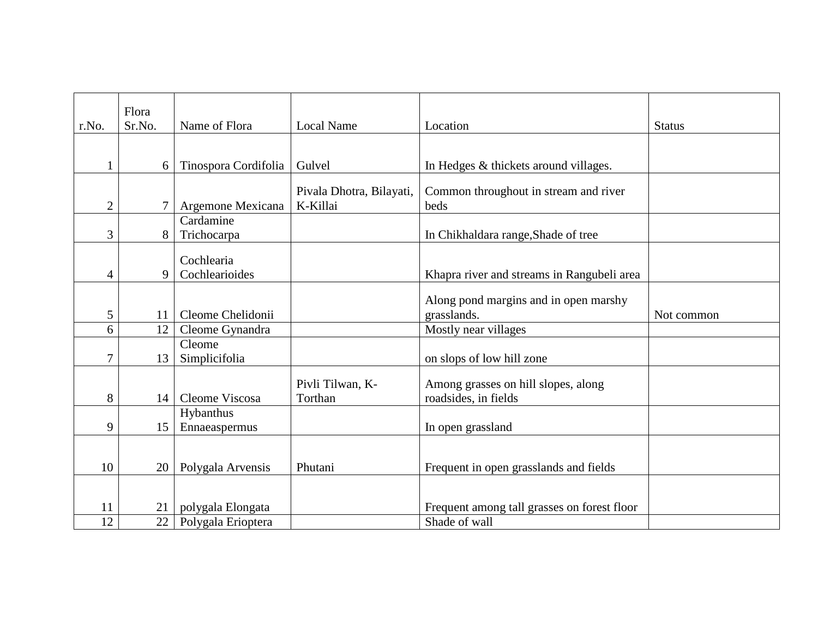|                | Flora  |                           |                          |                                             |               |
|----------------|--------|---------------------------|--------------------------|---------------------------------------------|---------------|
| r.No.          | Sr.No. | Name of Flora             | <b>Local Name</b>        | Location                                    | <b>Status</b> |
|                |        |                           |                          |                                             |               |
|                |        |                           |                          |                                             |               |
|                | 6      | Tinospora Cordifolia      | Gulvel                   | In Hedges & thickets around villages.       |               |
|                |        |                           |                          |                                             |               |
|                |        |                           | Pivala Dhotra, Bilayati, | Common throughout in stream and river       |               |
| $\overline{c}$ |        | Argemone Mexicana         | K-Killai                 | beds                                        |               |
|                |        | Cardamine                 |                          |                                             |               |
| $\overline{3}$ | 8      | Trichocarpa               |                          | In Chikhaldara range, Shade of tree         |               |
|                |        |                           |                          |                                             |               |
|                |        | Cochlearia                |                          |                                             |               |
| 4              | 9      | Cochlearioides            |                          | Khapra river and streams in Rangubeli area  |               |
|                |        |                           |                          | Along pond margins and in open marshy       |               |
| 5              | 11     | Cleome Chelidonii         |                          | grasslands.                                 | Not common    |
| 6              | 12     |                           |                          |                                             |               |
|                |        | Cleome Gynandra<br>Cleome |                          | Mostly near villages                        |               |
|                |        |                           |                          |                                             |               |
| 7              | 13     | Simplicifolia             |                          | on slops of low hill zone                   |               |
|                |        |                           | Pivli Tilwan, K-         | Among grasses on hill slopes, along         |               |
| 8              | 14     | Cleome Viscosa            | Torthan                  | roadsides, in fields                        |               |
|                |        | Hybanthus                 |                          |                                             |               |
| 9              | 15     | Ennaeaspermus             |                          | In open grassland                           |               |
|                |        |                           |                          |                                             |               |
|                |        |                           |                          |                                             |               |
| 10             | 20     | Polygala Arvensis         | Phutani                  | Frequent in open grasslands and fields      |               |
|                |        |                           |                          |                                             |               |
|                |        |                           |                          |                                             |               |
| 11             | 21     | polygala Elongata         |                          | Frequent among tall grasses on forest floor |               |
| 12             | 22     | Polygala Erioptera        |                          | Shade of wall                               |               |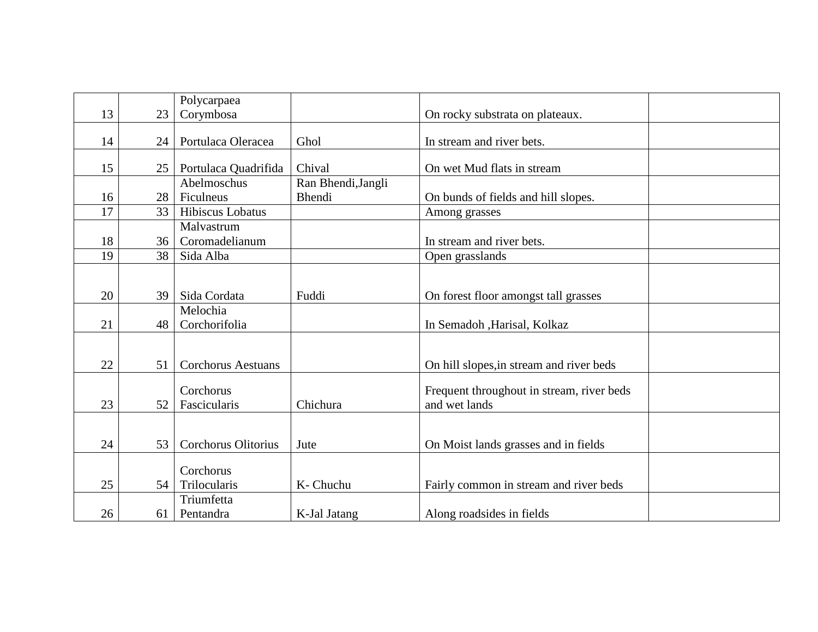|    |    | Polycarpaea               |                    |                                           |  |
|----|----|---------------------------|--------------------|-------------------------------------------|--|
| 13 | 23 | Corymbosa                 |                    | On rocky substrata on plateaux.           |  |
|    |    |                           |                    |                                           |  |
| 14 | 24 | Portulaca Oleracea        | Ghol               | In stream and river bets.                 |  |
|    |    |                           |                    |                                           |  |
| 15 | 25 | Portulaca Quadrifida      | Chival             | On wet Mud flats in stream                |  |
|    |    | Abelmoschus               | Ran Bhendi, Jangli |                                           |  |
| 16 |    | 28   Ficulneus            | Bhendi             | On bunds of fields and hill slopes.       |  |
| 17 | 33 | Hibiscus Lobatus          |                    | Among grasses                             |  |
|    |    | Malvastrum                |                    |                                           |  |
| 18 | 36 | Coromadelianum            |                    | In stream and river bets.                 |  |
| 19 | 38 | Sida Alba                 |                    | Open grasslands                           |  |
|    |    |                           |                    |                                           |  |
|    |    |                           |                    |                                           |  |
| 20 | 39 | Sida Cordata              | Fuddi              | On forest floor amongst tall grasses      |  |
|    |    | Melochia                  |                    |                                           |  |
| 21 | 48 | Corchorifolia             |                    | In Semadoh , Harisal, Kolkaz              |  |
|    |    |                           |                    |                                           |  |
|    |    |                           |                    |                                           |  |
| 22 | 51 | <b>Corchorus Aestuans</b> |                    | On hill slopes, in stream and river beds  |  |
|    |    |                           |                    |                                           |  |
|    |    | Corchorus                 |                    | Frequent throughout in stream, river beds |  |
| 23 | 52 | Fascicularis              | Chichura           | and wet lands                             |  |
|    |    |                           |                    |                                           |  |
| 24 | 53 | Corchorus Olitorius       | Jute               | On Moist lands grasses and in fields      |  |
|    |    |                           |                    |                                           |  |
|    |    | Corchorus                 |                    |                                           |  |
| 25 | 54 | Trilocularis              | K- Chuchu          | Fairly common in stream and river beds    |  |
|    |    | Triumfetta                |                    |                                           |  |
| 26 |    | 61   Pentandra            | K-Jal Jatang       | Along roadsides in fields                 |  |
|    |    |                           |                    |                                           |  |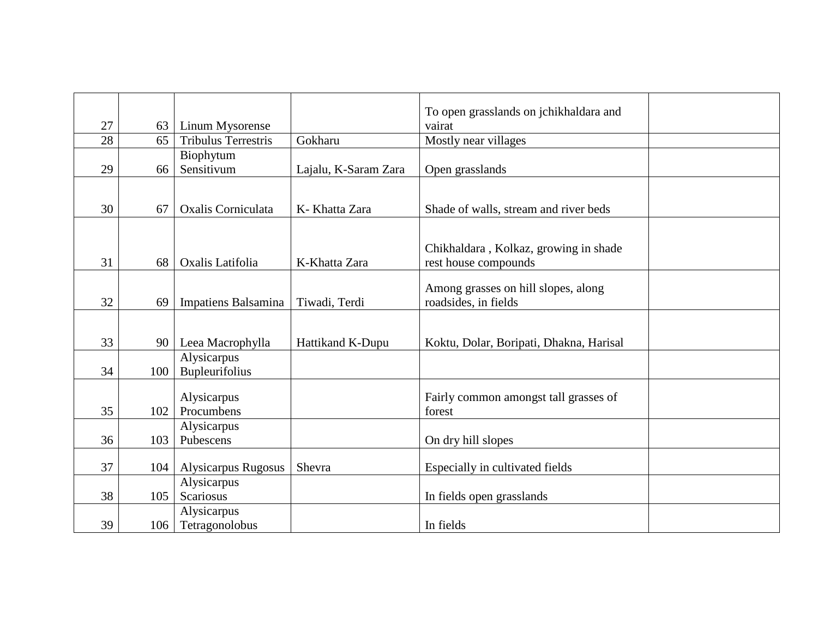|    |                 |                            |                      | To open grasslands on jchikhaldara and  |  |
|----|-----------------|----------------------------|----------------------|-----------------------------------------|--|
| 27 | 63              | Linum Mysorense            |                      | vairat                                  |  |
| 28 | 65              | <b>Tribulus Terrestris</b> | Gokharu              | Mostly near villages                    |  |
|    |                 | Biophytum                  |                      |                                         |  |
| 29 | 66              | Sensitivum                 | Lajalu, K-Saram Zara | Open grasslands                         |  |
|    |                 |                            |                      |                                         |  |
|    |                 |                            |                      |                                         |  |
| 30 | 67              | Oxalis Corniculata         | K- Khatta Zara       | Shade of walls, stream and river beds   |  |
|    |                 |                            |                      |                                         |  |
|    |                 |                            |                      | Chikhaldara, Kolkaz, growing in shade   |  |
| 31 | 68              | Oxalis Latifolia           | K-Khatta Zara        | rest house compounds                    |  |
|    |                 |                            |                      |                                         |  |
|    |                 |                            |                      | Among grasses on hill slopes, along     |  |
| 32 | 69              | Impatiens Balsamina        | Tiwadi, Terdi        | roadsides, in fields                    |  |
|    |                 |                            |                      |                                         |  |
|    |                 |                            |                      |                                         |  |
| 33 | 90 <sub>1</sub> | Leea Macrophylla           | Hattikand K-Dupu     | Koktu, Dolar, Boripati, Dhakna, Harisal |  |
|    |                 | Alysicarpus                |                      |                                         |  |
| 34 | 100             | <b>Bupleurifolius</b>      |                      |                                         |  |
|    |                 |                            |                      |                                         |  |
|    |                 | Alysicarpus                |                      | Fairly common amongst tall grasses of   |  |
| 35 | 102             | Procumbens                 |                      | forest                                  |  |
|    |                 | Alysicarpus                |                      |                                         |  |
| 36 | 103             | Pubescens                  |                      | On dry hill slopes                      |  |
|    |                 |                            |                      |                                         |  |
| 37 | 104             | Alysicarpus Rugosus        | Shevra               | Especially in cultivated fields         |  |
|    |                 | Alysicarpus                |                      |                                         |  |
| 38 | 105             | Scariosus                  |                      | In fields open grasslands               |  |
|    |                 | Alysicarpus                |                      |                                         |  |
| 39 | 106             | Tetragonolobus             |                      | In fields                               |  |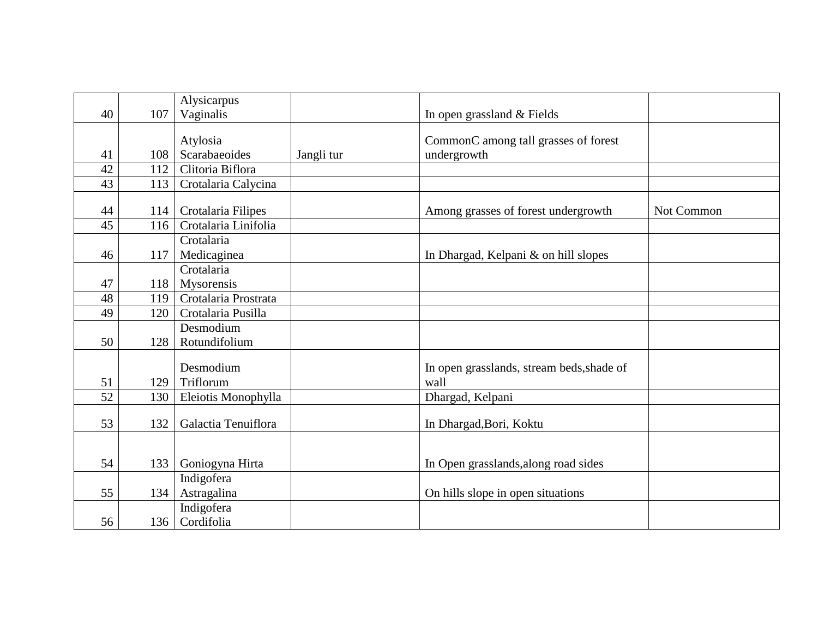|                 |     | Alysicarpus          |            |                                           |            |
|-----------------|-----|----------------------|------------|-------------------------------------------|------------|
| 40              | 107 | Vaginalis            |            | In open grassland $&$ Fields              |            |
|                 |     |                      |            |                                           |            |
|                 |     | Atylosia             |            | CommonC among tall grasses of forest      |            |
| 41              | 108 | Scarabaeoides        | Jangli tur | undergrowth                               |            |
| 42              | 112 | Clitoria Biflora     |            |                                           |            |
| 43              | 113 | Crotalaria Calycina  |            |                                           |            |
| 44              | 114 | Crotalaria Filipes   |            | Among grasses of forest undergrowth       | Not Common |
| 45              | 116 | Crotalaria Linifolia |            |                                           |            |
|                 |     |                      |            |                                           |            |
|                 |     | Crotalaria           |            |                                           |            |
| 46              | 117 | Medicaginea          |            | In Dhargad, Kelpani & on hill slopes      |            |
|                 |     | Crotalaria           |            |                                           |            |
| 47              | 118 | Mysorensis           |            |                                           |            |
| 48              | 119 | Crotalaria Prostrata |            |                                           |            |
| 49              | 120 | Crotalaria Pusilla   |            |                                           |            |
|                 |     | Desmodium            |            |                                           |            |
| 50              | 128 | Rotundifolium        |            |                                           |            |
|                 |     |                      |            |                                           |            |
|                 |     | Desmodium            |            | In open grasslands, stream beds, shade of |            |
| 51              | 129 | Triflorum            |            | wall                                      |            |
| $\overline{52}$ | 130 | Eleiotis Monophylla  |            | Dhargad, Kelpani                          |            |
|                 |     |                      |            |                                           |            |
| 53              | 132 | Galactia Tenuiflora  |            | In Dhargad, Bori, Koktu                   |            |
|                 |     |                      |            |                                           |            |
| 54              | 133 | Goniogyna Hirta      |            | In Open grasslands, along road sides      |            |
|                 |     | Indigofera           |            |                                           |            |
| 55              | 134 | Astragalina          |            | On hills slope in open situations         |            |
|                 |     | Indigofera           |            |                                           |            |
| 56              | 136 | Cordifolia           |            |                                           |            |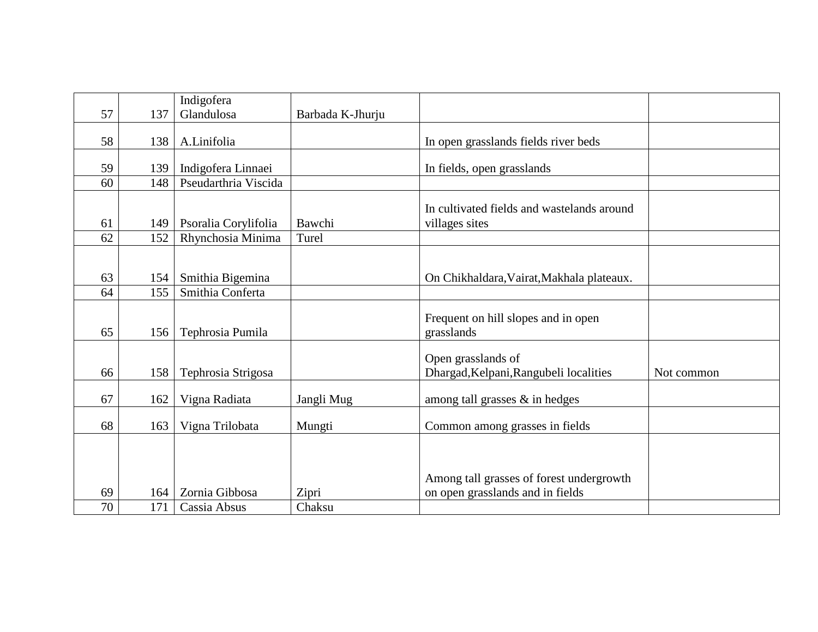|          |            | Indigofera                     |                  |                                                                              |            |
|----------|------------|--------------------------------|------------------|------------------------------------------------------------------------------|------------|
| 57       | 137        | Glandulosa                     | Barbada K-Jhurju |                                                                              |            |
| 58       | 138        | A.Linifolia                    |                  | In open grasslands fields river beds                                         |            |
| 59       | 139        | Indigofera Linnaei             |                  | In fields, open grasslands                                                   |            |
| 60       | 148        | Pseudarthria Viscida           |                  |                                                                              |            |
| 61       | 149        | Psoralia Corylifolia           | Bawchi           | In cultivated fields and wastelands around<br>villages sites                 |            |
| 62       | 152        | Rhynchosia Minima              | Turel            |                                                                              |            |
| 63       | 154        | Smithia Bigemina               |                  | On Chikhaldara, Vairat, Makhala plateaux.                                    |            |
| 64       | 155        | Smithia Conferta               |                  |                                                                              |            |
| 65       | 156        | Tephrosia Pumila               |                  | Frequent on hill slopes and in open<br>grasslands                            |            |
| 66       | 158        | Tephrosia Strigosa             |                  | Open grasslands of<br>Dhargad, Kelpani, Rangubeli localities                 | Not common |
| 67       | 162        | Vigna Radiata                  | Jangli Mug       | among tall grasses $\&$ in hedges                                            |            |
| 68       | 163        | Vigna Trilobata                | Mungti           | Common among grasses in fields                                               |            |
| 69<br>70 | 164<br>171 | Zornia Gibbosa<br>Cassia Absus | Zipri<br>Chaksu  | Among tall grasses of forest undergrowth<br>on open grasslands and in fields |            |
|          |            |                                |                  |                                                                              |            |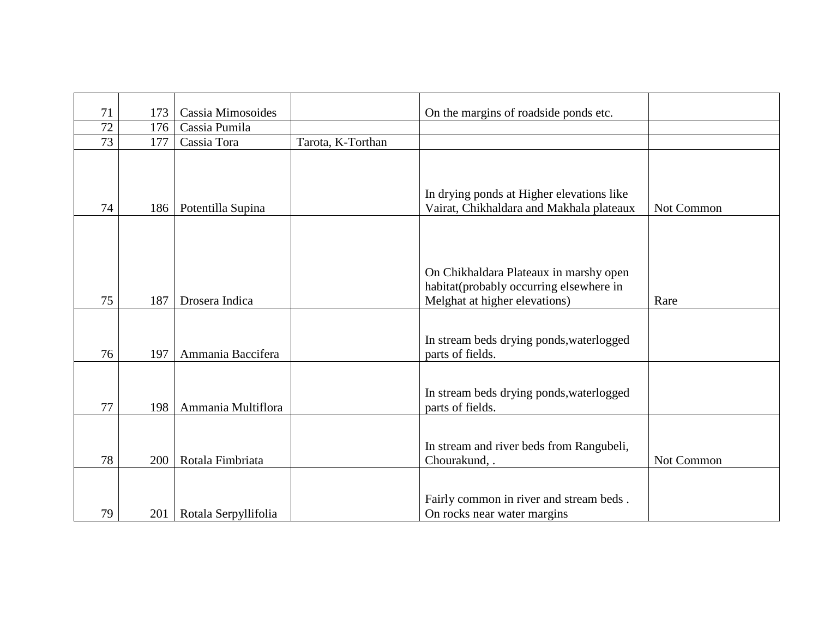| 71 | 173 | Cassia Mimosoides    |                   | On the margins of roadside ponds etc.                                                                              |            |
|----|-----|----------------------|-------------------|--------------------------------------------------------------------------------------------------------------------|------------|
| 72 | 176 | Cassia Pumila        |                   |                                                                                                                    |            |
| 73 | 177 | Cassia Tora          | Tarota, K-Torthan |                                                                                                                    |            |
| 74 | 186 | Potentilla Supina    |                   | In drying ponds at Higher elevations like<br>Vairat, Chikhaldara and Makhala plateaux                              | Not Common |
| 75 | 187 | Drosera Indica       |                   | On Chikhaldara Plateaux in marshy open<br>habitat(probably occurring elsewhere in<br>Melghat at higher elevations) | Rare       |
| 76 | 197 | Ammania Baccifera    |                   | In stream beds drying ponds, waterlogged<br>parts of fields.                                                       |            |
| 77 | 198 | Ammania Multiflora   |                   | In stream beds drying ponds, waterlogged<br>parts of fields.                                                       |            |
| 78 | 200 | Rotala Fimbriata     |                   | In stream and river beds from Rangubeli,<br>Chourakund, .                                                          | Not Common |
| 79 | 201 | Rotala Serpyllifolia |                   | Fairly common in river and stream beds.<br>On rocks near water margins                                             |            |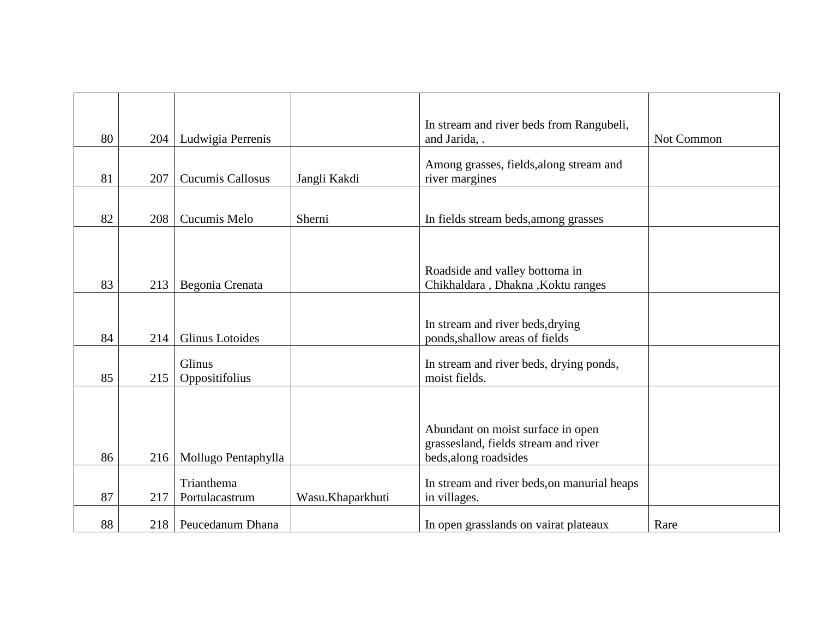| 80 | 204 | Ludwigia Perrenis            |                  | In stream and river beds from Rangubeli,<br>and Jarida, .                 | <b>Not Common</b> |
|----|-----|------------------------------|------------------|---------------------------------------------------------------------------|-------------------|
| 81 | 207 | Cucumis Callosus             | Jangli Kakdi     | Among grasses, fields, along stream and<br>river margines                 |                   |
| 82 | 208 | Cucumis Melo                 | Sherni           | In fields stream beds, among grasses                                      |                   |
|    |     |                              |                  |                                                                           |                   |
| 83 | 213 | Begonia Crenata              |                  | Roadside and valley bottoma in<br>Chikhaldara, Dhakna, Koktu ranges       |                   |
|    |     |                              |                  |                                                                           |                   |
| 84 | 214 | <b>Glinus Lotoides</b>       |                  | In stream and river beds, drying<br>ponds, shallow areas of fields        |                   |
| 85 | 215 | Glinus<br>Oppositifolius     |                  | In stream and river beds, drying ponds,<br>moist fields.                  |                   |
|    |     |                              |                  |                                                                           |                   |
|    |     |                              |                  | Abundant on moist surface in open<br>grassesland, fields stream and river |                   |
| 86 | 216 | Mollugo Pentaphylla          |                  | beds, along roadsides                                                     |                   |
| 87 | 217 | Trianthema<br>Portulacastrum | Wasu.Khaparkhuti | In stream and river beds, on manurial heaps<br>in villages.               |                   |
| 88 | 218 | Peucedanum Dhana             |                  | In open grasslands on vairat plateaux                                     | Rare              |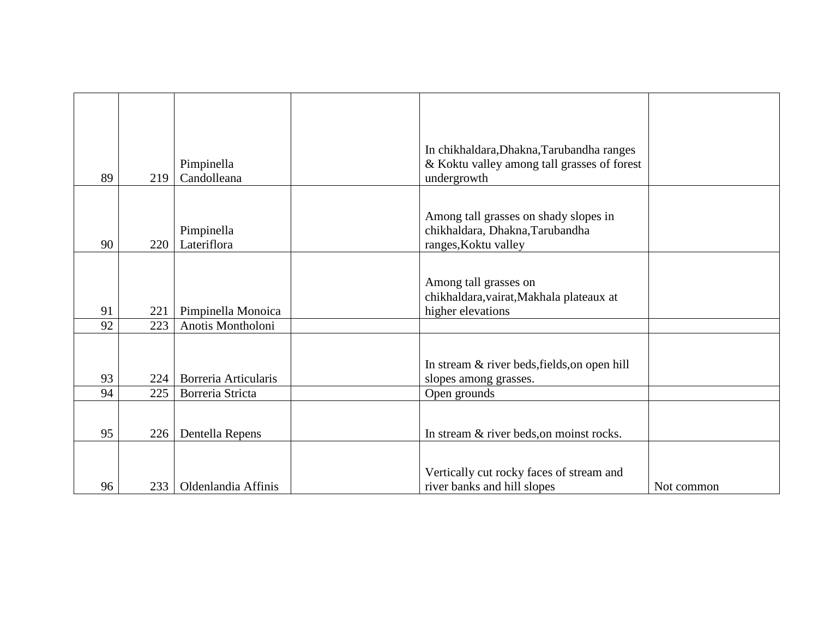| 89 | 219 | Pimpinella<br>Candolleana | In chikhaldara, Dhakna, Tarubandha ranges<br>& Koktu valley among tall grasses of forest<br>undergrowth |            |
|----|-----|---------------------------|---------------------------------------------------------------------------------------------------------|------------|
| 90 | 220 | Pimpinella<br>Lateriflora | Among tall grasses on shady slopes in<br>chikhaldara, Dhakna, Tarubandha<br>ranges, Koktu valley        |            |
| 91 | 221 | Pimpinella Monoica        | Among tall grasses on<br>chikhaldara, vairat, Makhala plateaux at<br>higher elevations                  |            |
| 92 | 223 | Anotis Montholoni         |                                                                                                         |            |
| 93 | 224 | Borreria Articularis      | In stream & river beds, fields, on open hill<br>slopes among grasses.                                   |            |
| 94 | 225 | Borreria Stricta          | Open grounds                                                                                            |            |
| 95 | 226 | Dentella Repens           | In stream & river beds, on moinst rocks.                                                                |            |
| 96 | 233 | Oldenlandia Affinis       | Vertically cut rocky faces of stream and<br>river banks and hill slopes                                 | Not common |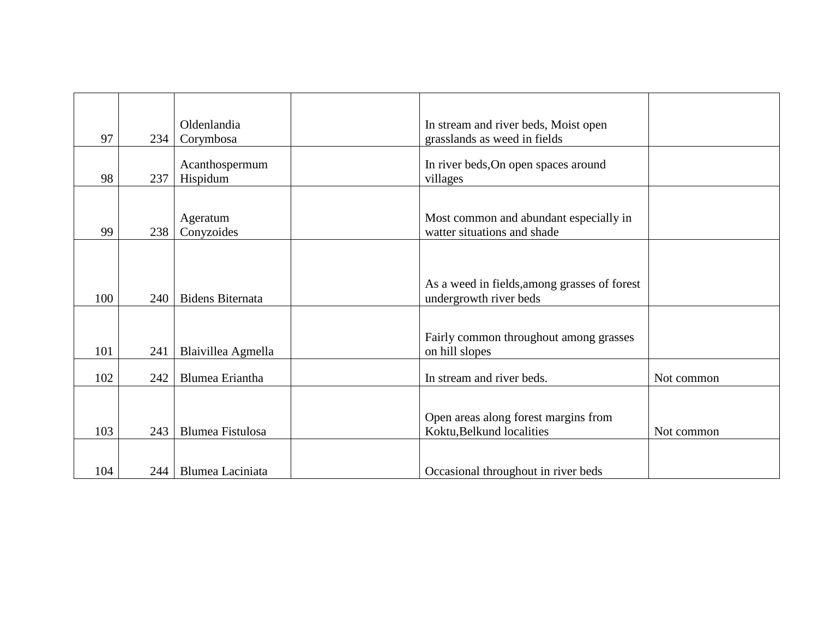| 97  | 234 | Oldenlandia<br>Corymbosa   | In stream and river beds, Moist open<br>grasslands as weed in fields  |            |
|-----|-----|----------------------------|-----------------------------------------------------------------------|------------|
| 98  | 237 | Acanthospermum<br>Hispidum | In river beds, On open spaces around<br>villages                      |            |
| 99  | 238 | Ageratum<br>Conyzoides     | Most common and abundant especially in<br>watter situations and shade |            |
|     |     |                            | As a weed in fields, among grasses of forest                          |            |
| 100 | 240 | <b>Bidens Biternata</b>    | undergrowth river beds                                                |            |
| 101 | 241 | Blaivillea Agmella         | Fairly common throughout among grasses<br>on hill slopes              |            |
| 102 | 242 | Blumea Eriantha            | In stream and river beds.                                             | Not common |
|     |     |                            |                                                                       |            |
| 103 | 243 | <b>Blumea Fistulosa</b>    | Open areas along forest margins from<br>Koktu, Belkund localities     | Not common |
| 104 | 244 | Blumea Laciniata           | Occasional throughout in river beds                                   |            |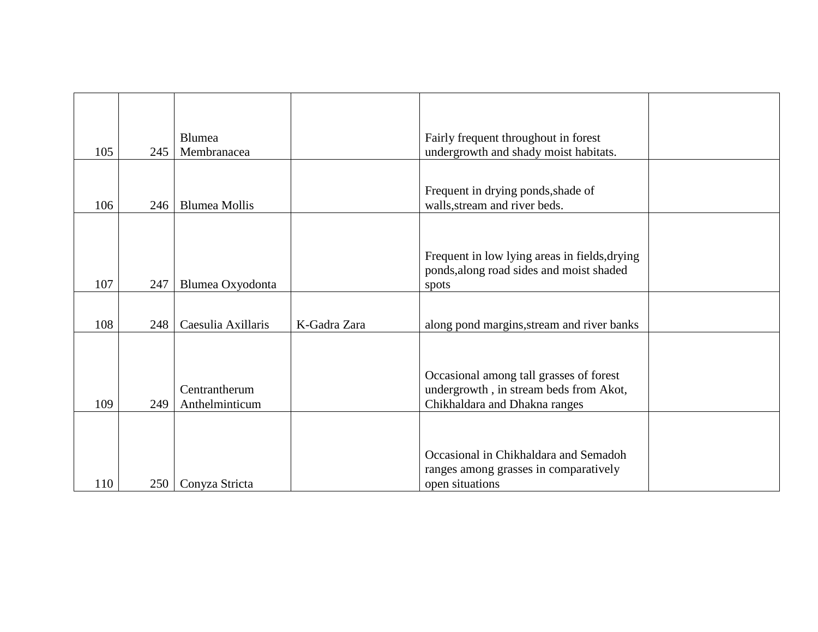| 105 | 245 | <b>Blumea</b><br>Membranacea    |              | Fairly frequent throughout in forest<br>undergrowth and shady moist habitats.                                      |  |
|-----|-----|---------------------------------|--------------|--------------------------------------------------------------------------------------------------------------------|--|
| 106 | 246 | <b>Blumea Mollis</b>            |              | Frequent in drying ponds, shade of<br>walls, stream and river beds.                                                |  |
| 107 | 247 | Blumea Oxyodonta                |              | Frequent in low lying areas in fields, drying<br>ponds, along road sides and moist shaded<br>spots                 |  |
| 108 | 248 | Caesulia Axillaris              | K-Gadra Zara | along pond margins, stream and river banks                                                                         |  |
| 109 | 249 | Centrantherum<br>Anthelminticum |              | Occasional among tall grasses of forest<br>undergrowth, in stream beds from Akot,<br>Chikhaldara and Dhakna ranges |  |
| 110 | 250 | Conyza Stricta                  |              | Occasional in Chikhaldara and Semadoh<br>ranges among grasses in comparatively<br>open situations                  |  |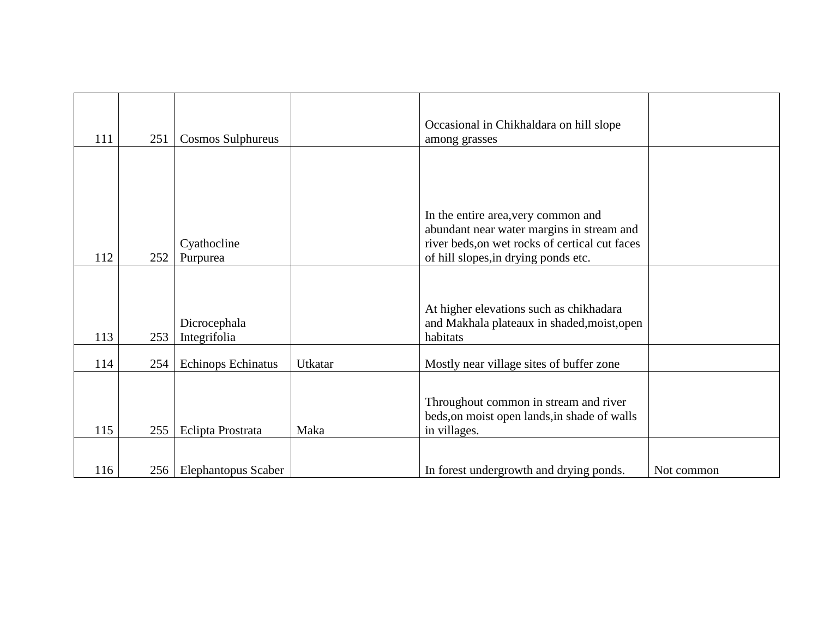| 111 | 251 | <b>Cosmos Sulphureus</b>     |         | Occasional in Chikhaldara on hill slope<br>among grasses                                                                                                                   |            |
|-----|-----|------------------------------|---------|----------------------------------------------------------------------------------------------------------------------------------------------------------------------------|------------|
|     |     |                              |         |                                                                                                                                                                            |            |
| 112 | 252 | Cyathocline<br>Purpurea      |         | In the entire area, very common and<br>abundant near water margins in stream and<br>river beds, on wet rocks of certical cut faces<br>of hill slopes, in drying ponds etc. |            |
|     |     |                              |         |                                                                                                                                                                            |            |
| 113 | 253 | Dicrocephala<br>Integrifolia |         | At higher elevations such as chikhadara<br>and Makhala plateaux in shaded, moist, open<br>habitats                                                                         |            |
| 114 | 254 | Echinops Echinatus           | Utkatar | Mostly near village sites of buffer zone                                                                                                                                   |            |
| 115 | 255 | Eclipta Prostrata            | Maka    | Throughout common in stream and river<br>beds, on moist open lands, in shade of walls<br>in villages.                                                                      |            |
| 116 | 256 | <b>Elephantopus Scaber</b>   |         | In forest undergrowth and drying ponds.                                                                                                                                    | Not common |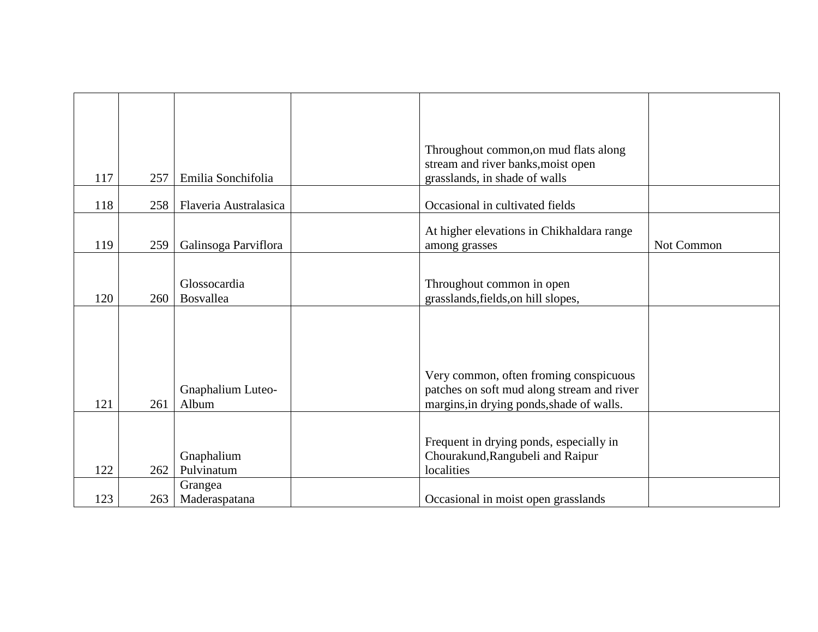| 117 | 257 | Emilia Sonchifolia         | Throughout common, on mud flats along<br>stream and river banks, moist open<br>grasslands, in shade of walls                      |            |
|-----|-----|----------------------------|-----------------------------------------------------------------------------------------------------------------------------------|------------|
| 118 | 258 | Flaveria Australasica      | Occasional in cultivated fields                                                                                                   |            |
| 119 | 259 | Galinsoga Parviflora       | At higher elevations in Chikhaldara range<br>among grasses                                                                        | Not Common |
| 120 | 260 | Glossocardia<br>Bosvallea  | Throughout common in open<br>grasslands, fields, on hill slopes,                                                                  |            |
|     |     |                            |                                                                                                                                   |            |
| 121 | 261 | Gnaphalium Luteo-<br>Album | Very common, often froming conspicuous<br>patches on soft mud along stream and river<br>margins, in drying ponds, shade of walls. |            |
|     |     |                            | Frequent in drying ponds, especially in                                                                                           |            |
| 122 | 262 | Gnaphalium<br>Pulvinatum   | Chourakund, Rangubeli and Raipur<br>localities                                                                                    |            |
| 123 | 263 | Grangea<br>Maderaspatana   | Occasional in moist open grasslands                                                                                               |            |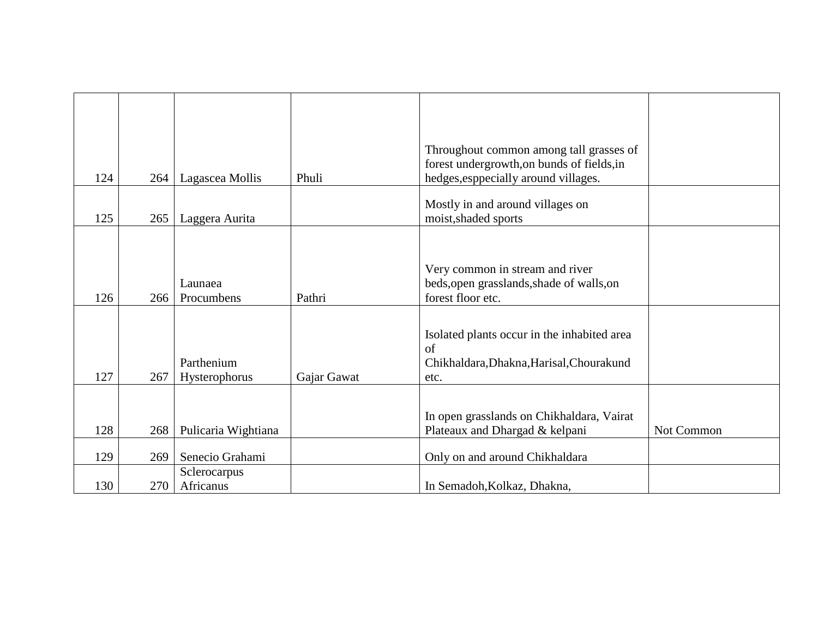| 124 | 264 | Lagascea Mollis             | Phuli       | Throughout common among tall grasses of<br>forest undergrowth, on bunds of fields, in<br>hedges, esppecially around villages. |            |
|-----|-----|-----------------------------|-------------|-------------------------------------------------------------------------------------------------------------------------------|------------|
| 125 | 265 | Laggera Aurita              |             | Mostly in and around villages on<br>moist, shaded sports                                                                      |            |
| 126 | 266 | Launaea<br>Procumbens       | Pathri      | Very common in stream and river<br>beds, open grasslands, shade of walls, on<br>forest floor etc.                             |            |
|     |     |                             |             |                                                                                                                               |            |
| 127 | 267 | Parthenium<br>Hysterophorus | Gajar Gawat | Isolated plants occur in the inhabited area<br>of<br>Chikhaldara, Dhakna, Harisal, Chourakund<br>etc.                         |            |
|     |     |                             |             |                                                                                                                               |            |
| 128 | 268 | Pulicaria Wightiana         |             | In open grasslands on Chikhaldara, Vairat<br>Plateaux and Dhargad & kelpani                                                   | Not Common |
| 129 | 269 | Senecio Grahami             |             | Only on and around Chikhaldara                                                                                                |            |
| 130 | 270 | Sclerocarpus<br>Africanus   |             | In Semadoh, Kolkaz, Dhakna,                                                                                                   |            |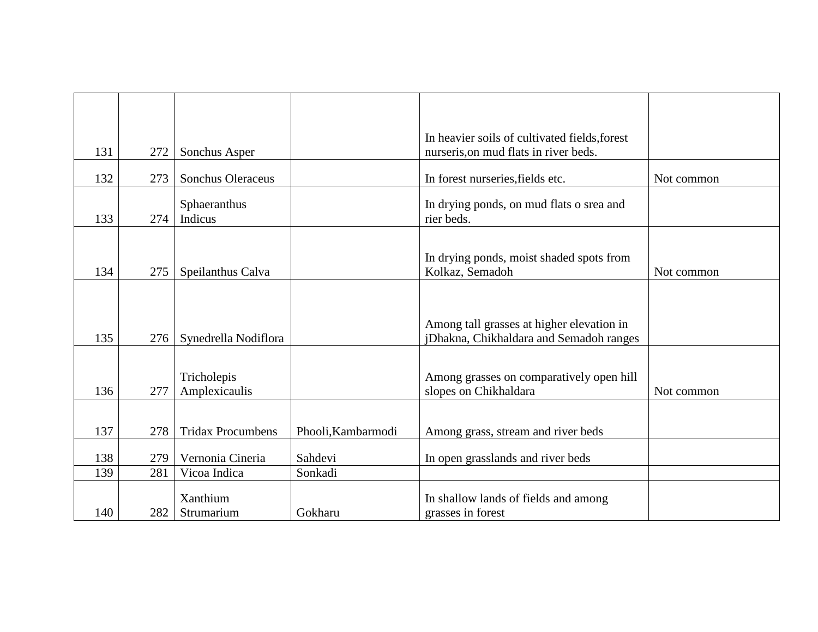| 131 | 272 | Sonchus Asper                |                    | In heavier soils of cultivated fields, forest<br>nurseris, on mud flats in river beds. |            |
|-----|-----|------------------------------|--------------------|----------------------------------------------------------------------------------------|------------|
| 132 | 273 | <b>Sonchus Oleraceus</b>     |                    | In forest nurseries, fields etc.                                                       | Not common |
| 133 | 274 | Sphaeranthus<br>Indicus      |                    | In drying ponds, on mud flats o srea and<br>rier beds.                                 |            |
| 134 | 275 | Speilanthus Calva            |                    | In drying ponds, moist shaded spots from<br>Kolkaz, Semadoh                            | Not common |
|     |     |                              |                    |                                                                                        |            |
| 135 | 276 | Synedrella Nodiflora         |                    | Among tall grasses at higher elevation in<br>jDhakna, Chikhaldara and Semadoh ranges   |            |
| 136 | 277 | Tricholepis<br>Amplexicaulis |                    | Among grasses on comparatively open hill<br>slopes on Chikhaldara                      | Not common |
| 137 | 278 | <b>Tridax Procumbens</b>     | Phooli, Kambarmodi | Among grass, stream and river beds                                                     |            |
| 138 | 279 | Vernonia Cineria             | Sahdevi            | In open grasslands and river beds                                                      |            |
| 139 | 281 | Vicoa Indica                 | Sonkadi            |                                                                                        |            |
| 140 | 282 | Xanthium<br>Strumarium       | Gokharu            | In shallow lands of fields and among<br>grasses in forest                              |            |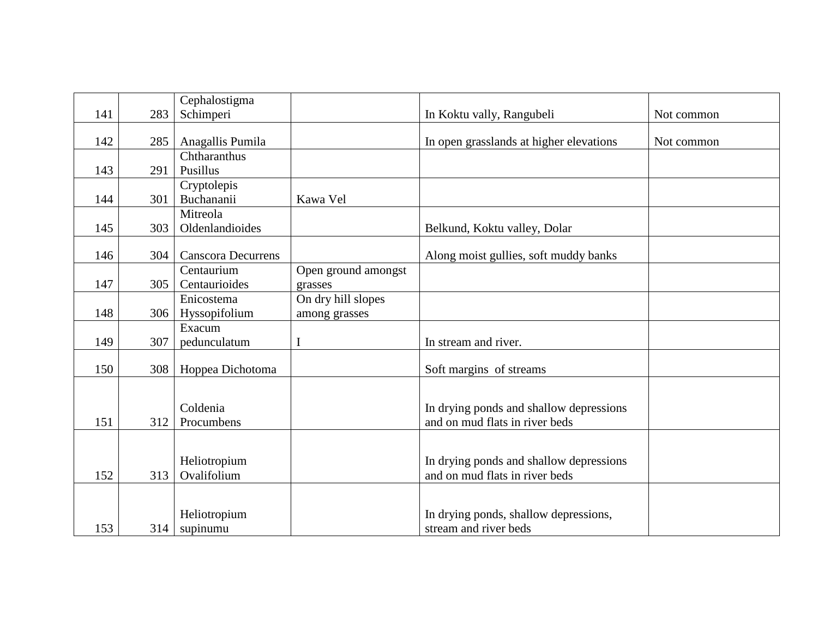|     |     | Cephalostigma             |                     |                                         |            |
|-----|-----|---------------------------|---------------------|-----------------------------------------|------------|
| 141 | 283 | Schimperi                 |                     | In Koktu vally, Rangubeli               | Not common |
|     |     |                           |                     |                                         |            |
| 142 | 285 | Anagallis Pumila          |                     | In open grasslands at higher elevations | Not common |
|     |     | Chtharanthus              |                     |                                         |            |
| 143 | 291 | Pusillus                  |                     |                                         |            |
|     |     | Cryptolepis               |                     |                                         |            |
| 144 | 301 | Buchananii                | Kawa Vel            |                                         |            |
|     |     | Mitreola                  |                     |                                         |            |
| 145 | 303 | Oldenlandioides           |                     | Belkund, Koktu valley, Dolar            |            |
|     |     |                           |                     |                                         |            |
| 146 | 304 | <b>Canscora Decurrens</b> |                     | Along moist gullies, soft muddy banks   |            |
|     |     | Centaurium                | Open ground amongst |                                         |            |
| 147 | 305 | Centaurioides             | grasses             |                                         |            |
|     |     | Enicostema                | On dry hill slopes  |                                         |            |
| 148 | 306 | Hyssopifolium             | among grasses       |                                         |            |
|     |     | Exacum                    |                     |                                         |            |
| 149 | 307 | pedunculatum              | $\bf I$             | In stream and river.                    |            |
|     |     |                           |                     |                                         |            |
| 150 | 308 | Hoppea Dichotoma          |                     | Soft margins of streams                 |            |
|     |     |                           |                     |                                         |            |
|     |     | Coldenia                  |                     | In drying ponds and shallow depressions |            |
| 151 | 312 | Procumbens                |                     | and on mud flats in river beds          |            |
|     |     |                           |                     |                                         |            |
|     |     |                           |                     |                                         |            |
|     |     | Heliotropium              |                     | In drying ponds and shallow depressions |            |
| 152 | 313 | Ovalifolium               |                     | and on mud flats in river beds          |            |
|     |     |                           |                     |                                         |            |
|     |     |                           |                     |                                         |            |
|     |     | Heliotropium              |                     | In drying ponds, shallow depressions,   |            |
| 153 | 314 | supinumu                  |                     | stream and river beds                   |            |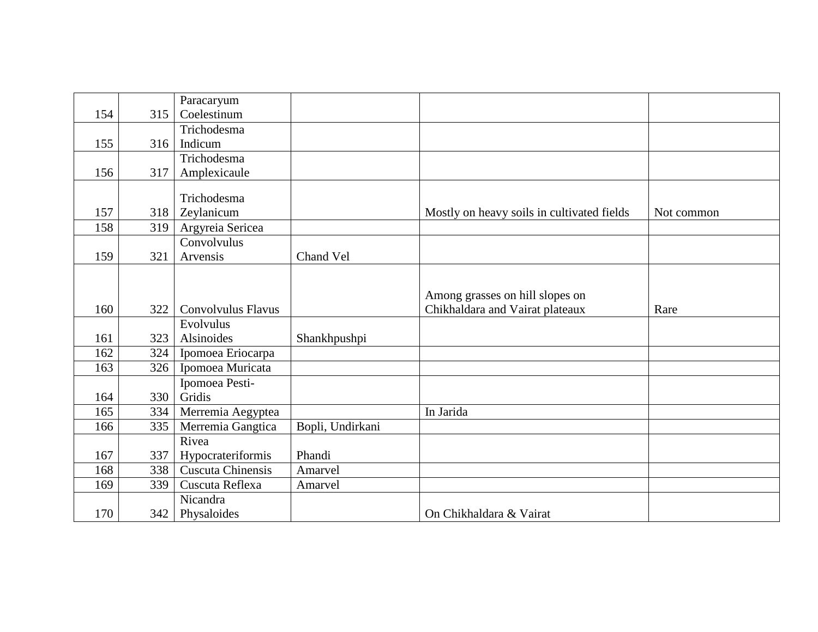|     |     | Paracaryum         |                  |                                            |            |
|-----|-----|--------------------|------------------|--------------------------------------------|------------|
| 154 | 315 | Coelestinum        |                  |                                            |            |
|     |     | Trichodesma        |                  |                                            |            |
| 155 | 316 | Indicum            |                  |                                            |            |
|     |     | Trichodesma        |                  |                                            |            |
| 156 | 317 | Amplexicaule       |                  |                                            |            |
|     |     |                    |                  |                                            |            |
|     |     | Trichodesma        |                  |                                            |            |
| 157 | 318 | Zeylanicum         |                  | Mostly on heavy soils in cultivated fields | Not common |
| 158 | 319 | Argyreia Sericea   |                  |                                            |            |
|     |     | Convolvulus        |                  |                                            |            |
| 159 | 321 | Arvensis           | Chand Vel        |                                            |            |
|     |     |                    |                  |                                            |            |
|     |     |                    |                  |                                            |            |
|     |     |                    |                  | Among grasses on hill slopes on            |            |
| 160 | 322 | Convolvulus Flavus |                  | Chikhaldara and Vairat plateaux            | Rare       |
|     |     | Evolvulus          |                  |                                            |            |
| 161 | 323 | Alsinoides         | Shankhpushpi     |                                            |            |
| 162 | 324 | Ipomoea Eriocarpa  |                  |                                            |            |
| 163 | 326 | Ipomoea Muricata   |                  |                                            |            |
|     |     | Ipomoea Pesti-     |                  |                                            |            |
| 164 | 330 | Gridis             |                  |                                            |            |
| 165 | 334 | Merremia Aegyptea  |                  | In Jarida                                  |            |
| 166 | 335 | Merremia Gangtica  | Bopli, Undirkani |                                            |            |
|     |     | Rivea              |                  |                                            |            |
| 167 | 337 | Hypocrateriformis  | Phandi           |                                            |            |
| 168 | 338 | Cuscuta Chinensis  | Amarvel          |                                            |            |
| 169 | 339 | Cuscuta Reflexa    | Amarvel          |                                            |            |
|     |     | Nicandra           |                  |                                            |            |
| 170 |     | 342 Physaloides    |                  | On Chikhaldara & Vairat                    |            |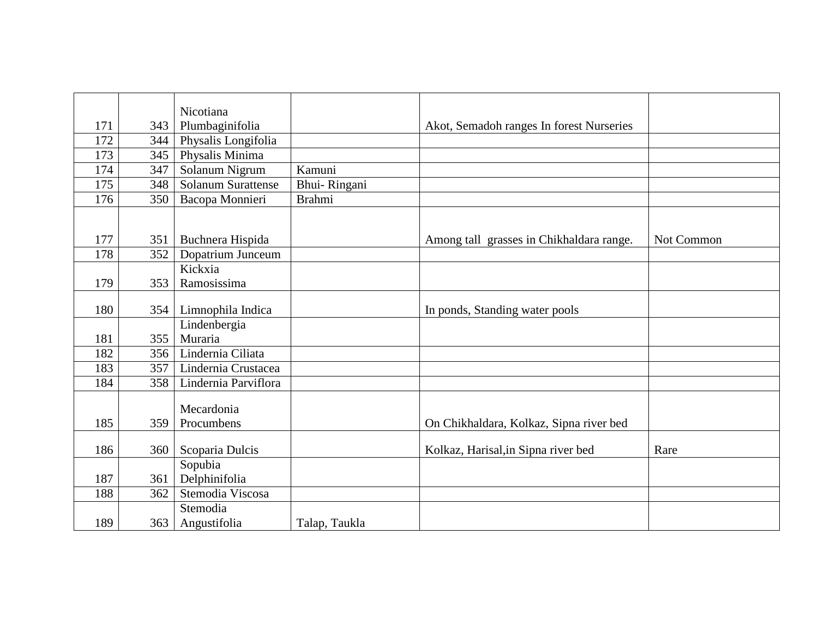|     |     | Nicotiana                 |               |                                          |            |
|-----|-----|---------------------------|---------------|------------------------------------------|------------|
| 171 | 343 | Plumbaginifolia           |               | Akot, Semadoh ranges In forest Nurseries |            |
| 172 | 344 | Physalis Longifolia       |               |                                          |            |
| 173 | 345 | Physalis Minima           |               |                                          |            |
| 174 | 347 | Solanum Nigrum            | Kamuni        |                                          |            |
| 175 | 348 | <b>Solanum Surattense</b> | Bhui-Ringani  |                                          |            |
| 176 | 350 | Bacopa Monnieri           | <b>Brahmi</b> |                                          |            |
|     |     |                           |               |                                          |            |
| 177 | 351 | Buchnera Hispida          |               | Among tall grasses in Chikhaldara range. | Not Common |
| 178 | 352 | Dopatrium Junceum         |               |                                          |            |
|     |     | Kickxia                   |               |                                          |            |
| 179 | 353 | Ramosissima               |               |                                          |            |
|     |     |                           |               |                                          |            |
| 180 |     | 354   Limnophila Indica   |               | In ponds, Standing water pools           |            |
|     |     | Lindenbergia              |               |                                          |            |
| 181 | 355 | Muraria                   |               |                                          |            |
| 182 |     | 356   Lindernia Ciliata   |               |                                          |            |
| 183 | 357 | Lindernia Crustacea       |               |                                          |            |
| 184 | 358 | Lindernia Parviflora      |               |                                          |            |
|     |     |                           |               |                                          |            |
|     |     | Mecardonia                |               |                                          |            |
| 185 | 359 | Procumbens                |               | On Chikhaldara, Kolkaz, Sipna river bed  |            |
| 186 | 360 | Scoparia Dulcis           |               | Kolkaz, Harisal, in Sipna river bed      | Rare       |
|     |     |                           |               |                                          |            |
| 187 | 361 | Sopubia<br>Delphinifolia  |               |                                          |            |
|     |     |                           |               |                                          |            |
| 188 | 362 | Stemodia Viscosa          |               |                                          |            |
|     |     | Stemodia                  |               |                                          |            |
| 189 |     | 363   Angustifolia        | Talap, Taukla |                                          |            |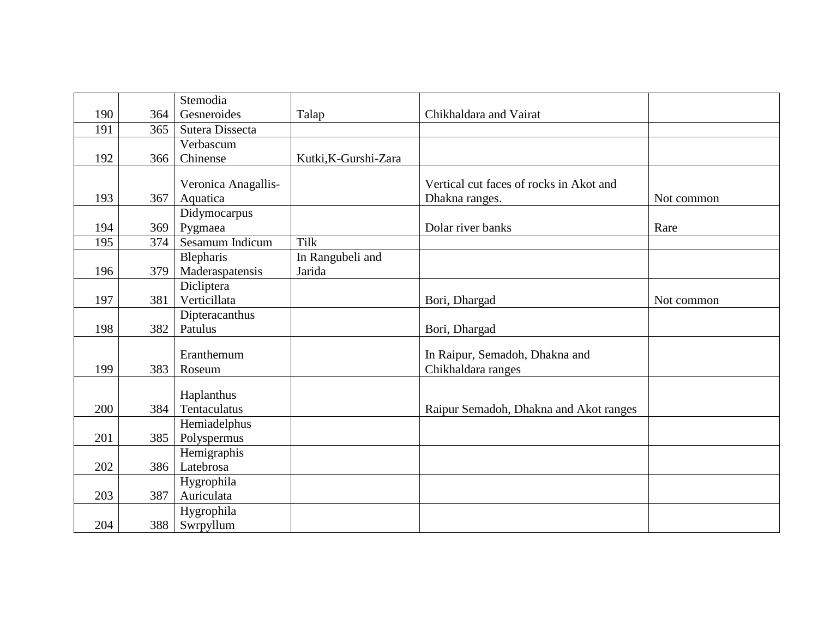|     |     | Stemodia            |                      |                                         |            |
|-----|-----|---------------------|----------------------|-----------------------------------------|------------|
| 190 | 364 | Gesneroides         | Talap                | Chikhaldara and Vairat                  |            |
| 191 | 365 | Sutera Dissecta     |                      |                                         |            |
|     |     | Verbascum           |                      |                                         |            |
| 192 | 366 | Chinense            | Kutki, K-Gurshi-Zara |                                         |            |
|     |     |                     |                      |                                         |            |
|     |     | Veronica Anagallis- |                      | Vertical cut faces of rocks in Akot and |            |
| 193 | 367 | Aquatica            |                      | Dhakna ranges.                          | Not common |
|     |     | Didymocarpus        |                      |                                         |            |
| 194 | 369 | Pygmaea             |                      | Dolar river banks                       | Rare       |
| 195 | 374 | Sesamum Indicum     | Tilk                 |                                         |            |
|     |     | Blepharis           | In Rangubeli and     |                                         |            |
| 196 | 379 | Maderaspatensis     | Jarida               |                                         |            |
|     |     | Dicliptera          |                      |                                         |            |
| 197 | 381 | Verticillata        |                      | Bori, Dhargad                           | Not common |
|     |     | Dipteracanthus      |                      |                                         |            |
| 198 | 382 | Patulus             |                      | Bori, Dhargad                           |            |
|     |     |                     |                      |                                         |            |
|     |     | Eranthemum          |                      | In Raipur, Semadoh, Dhakna and          |            |
| 199 | 383 | Roseum              |                      | Chikhaldara ranges                      |            |
|     |     |                     |                      |                                         |            |
|     |     | Haplanthus          |                      |                                         |            |
| 200 | 384 | Tentaculatus        |                      | Raipur Semadoh, Dhakna and Akot ranges  |            |
|     |     | Hemiadelphus        |                      |                                         |            |
| 201 | 385 | Polyspermus         |                      |                                         |            |
|     |     | Hemigraphis         |                      |                                         |            |
| 202 | 386 | Latebrosa           |                      |                                         |            |
|     |     | Hygrophila          |                      |                                         |            |
| 203 | 387 | Auriculata          |                      |                                         |            |
|     |     | Hygrophila          |                      |                                         |            |
| 204 | 388 | Swrpyllum           |                      |                                         |            |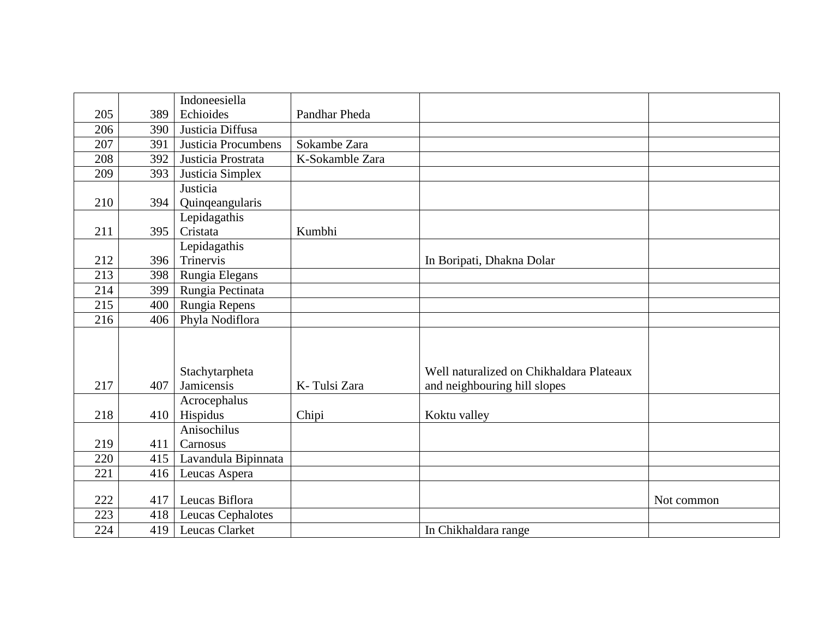|     |     | Indoneesiella                 |                 |                                          |            |
|-----|-----|-------------------------------|-----------------|------------------------------------------|------------|
| 205 | 389 | Echioides                     | Pandhar Pheda   |                                          |            |
| 206 | 390 | Justicia Diffusa              |                 |                                          |            |
| 207 | 391 | Justicia Procumbens           | Sokambe Zara    |                                          |            |
| 208 | 392 | Justicia Prostrata            | K-Sokamble Zara |                                          |            |
| 209 | 393 | Justicia Simplex              |                 |                                          |            |
|     |     | Justicia                      |                 |                                          |            |
| 210 | 394 | Quinqeangularis               |                 |                                          |            |
|     |     | Lepidagathis                  |                 |                                          |            |
| 211 | 395 | Cristata                      | Kumbhi          |                                          |            |
|     |     | Lepidagathis                  |                 |                                          |            |
| 212 | 396 | Trinervis                     |                 | In Boripati, Dhakna Dolar                |            |
| 213 | 398 | Rungia Elegans                |                 |                                          |            |
| 214 | 399 | Rungia Pectinata              |                 |                                          |            |
| 215 | 400 | Rungia Repens                 |                 |                                          |            |
| 216 | 406 | Phyla Nodiflora               |                 |                                          |            |
|     |     |                               |                 |                                          |            |
|     |     |                               |                 |                                          |            |
|     |     |                               |                 | Well naturalized on Chikhaldara Plateaux |            |
|     | 407 | Stachytarpheta<br>Jamicensis  |                 |                                          |            |
| 217 |     |                               | K-Tulsi Zara    | and neighbouring hill slopes             |            |
|     |     | Acrocephalus                  |                 |                                          |            |
| 218 |     | $410$ Hispidus<br>Anisochilus | Chipi           | Koktu valley                             |            |
|     |     |                               |                 |                                          |            |
| 219 | 411 | Carnosus                      |                 |                                          |            |
| 220 | 415 | Lavandula Bipinnata           |                 |                                          |            |
| 221 | 416 | Leucas Aspera                 |                 |                                          |            |
| 222 | 417 | Leucas Biflora                |                 |                                          | Not common |
| 223 |     | 418   Leucas Cephalotes       |                 |                                          |            |
| 224 |     | 419   Leucas Clarket          |                 | In Chikhaldara range                     |            |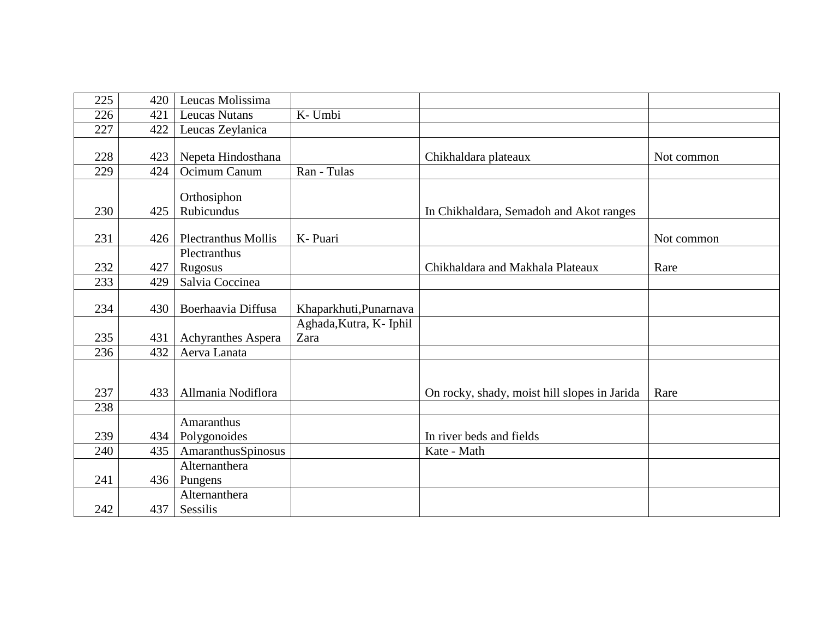| 225 | 420 | Leucas Molissima           |                                |                                              |            |
|-----|-----|----------------------------|--------------------------------|----------------------------------------------|------------|
| 226 | 421 | <b>Leucas Nutans</b>       | K- Umbi                        |                                              |            |
| 227 | 422 | Leucas Zeylanica           |                                |                                              |            |
| 228 | 423 | Nepeta Hindosthana         |                                | Chikhaldara plateaux                         | Not common |
| 229 | 424 | Ocimum Canum               | Ran - Tulas                    |                                              |            |
| 230 | 425 | Orthosiphon<br>Rubicundus  |                                | In Chikhaldara, Semadoh and Akot ranges      |            |
| 231 | 426 | <b>Plectranthus Mollis</b> | K-Puari                        |                                              | Not common |
| 232 | 427 | Plectranthus<br>Rugosus    |                                | Chikhaldara and Makhala Plateaux             | Rare       |
| 233 | 429 | Salvia Coccinea            |                                |                                              |            |
| 234 | 430 | Boerhaavia Diffusa         | Khaparkhuti, Punarnava         |                                              |            |
| 235 | 431 | Achyranthes Aspera         | Aghada, Kutra, K-Iphil<br>Zara |                                              |            |
| 236 | 432 | Aerva Lanata               |                                |                                              |            |
| 237 | 433 | Allmania Nodiflora         |                                | On rocky, shady, moist hill slopes in Jarida | Rare       |
| 238 |     |                            |                                |                                              |            |
| 239 | 434 | Amaranthus<br>Polygonoides |                                | In river beds and fields                     |            |
| 240 | 435 | AmaranthusSpinosus         |                                | Kate - Math                                  |            |
| 241 | 436 | Alternanthera<br>Pungens   |                                |                                              |            |
| 242 | 437 | Alternanthera<br>Sessilis  |                                |                                              |            |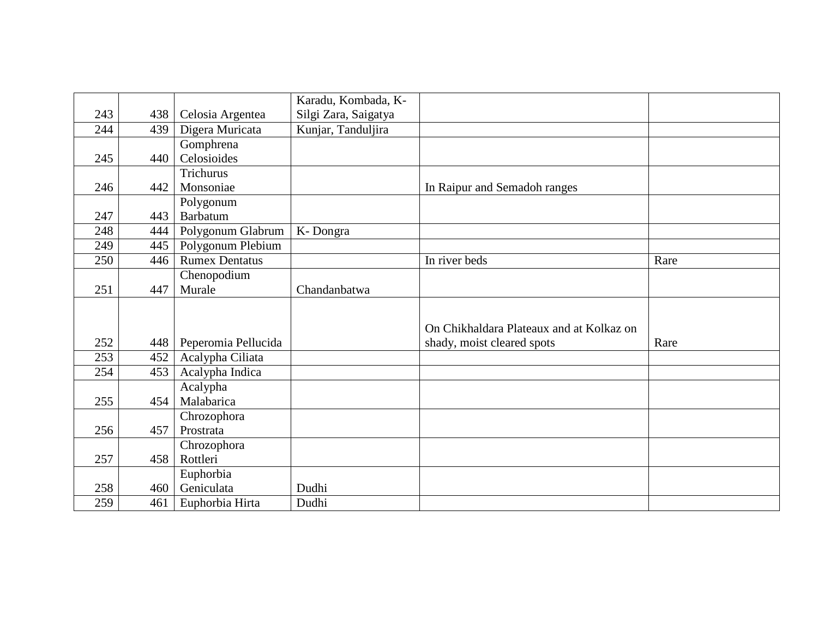|     |     |                       | Karadu, Kombada, K-  |                                          |      |
|-----|-----|-----------------------|----------------------|------------------------------------------|------|
| 243 | 438 | Celosia Argentea      | Silgi Zara, Saigatya |                                          |      |
| 244 | 439 | Digera Muricata       | Kunjar, Tanduljira   |                                          |      |
|     |     | Gomphrena             |                      |                                          |      |
| 245 | 440 | Celosioides           |                      |                                          |      |
|     |     | Trichurus             |                      |                                          |      |
| 246 | 442 | Monsoniae             |                      | In Raipur and Semadoh ranges             |      |
|     |     | Polygonum             |                      |                                          |      |
| 247 | 443 | Barbatum              |                      |                                          |      |
| 248 | 444 | Polygonum Glabrum     | K-Dongra             |                                          |      |
| 249 | 445 | Polygonum Plebium     |                      |                                          |      |
| 250 | 446 | <b>Rumex Dentatus</b> |                      | In river beds                            | Rare |
|     |     | Chenopodium           |                      |                                          |      |
| 251 | 447 | Murale                | Chandanbatwa         |                                          |      |
|     |     |                       |                      |                                          |      |
|     |     |                       |                      |                                          |      |
|     |     |                       |                      | On Chikhaldara Plateaux and at Kolkaz on |      |
| 252 | 448 | Peperomia Pellucida   |                      | shady, moist cleared spots               | Rare |
| 253 | 452 | Acalypha Ciliata      |                      |                                          |      |
| 254 | 453 | Acalypha Indica       |                      |                                          |      |
|     |     | Acalypha              |                      |                                          |      |
| 255 | 454 | Malabarica            |                      |                                          |      |
|     |     | Chrozophora           |                      |                                          |      |
| 256 | 457 | Prostrata             |                      |                                          |      |
|     |     | Chrozophora           |                      |                                          |      |
| 257 | 458 | Rottleri              |                      |                                          |      |
|     |     | Euphorbia             |                      |                                          |      |
| 258 | 460 | Geniculata            | Dudhi                |                                          |      |
| 259 |     | 461   Euphorbia Hirta | Dudhi                |                                          |      |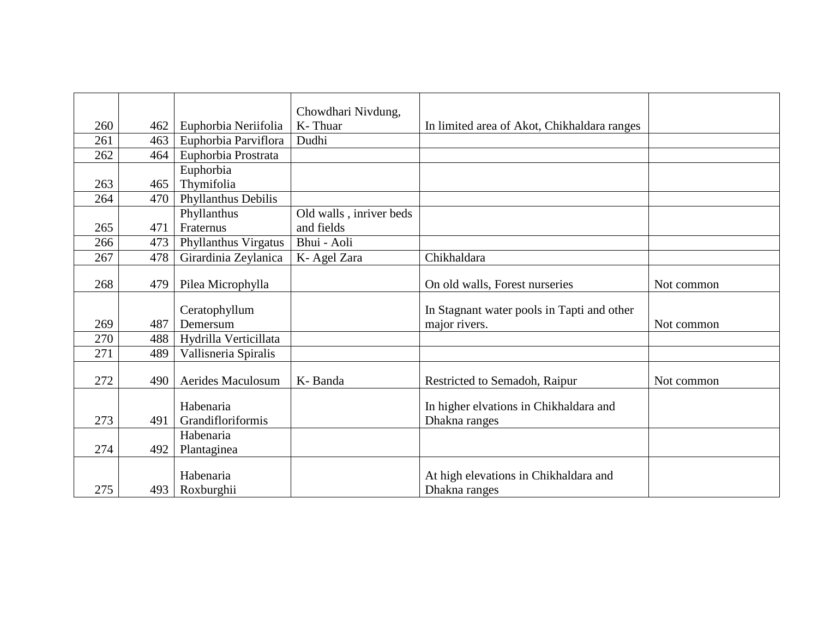|     |     |                                | Chowdhari Nivdung,      |                                                         |            |
|-----|-----|--------------------------------|-------------------------|---------------------------------------------------------|------------|
| 260 | 462 | Euphorbia Neriifolia           | K-Thuar                 | In limited area of Akot, Chikhaldara ranges             |            |
| 261 | 463 | Euphorbia Parviflora           | Dudhi                   |                                                         |            |
| 262 | 464 | Euphorbia Prostrata            |                         |                                                         |            |
|     |     | Euphorbia                      |                         |                                                         |            |
| 263 | 465 | Thymifolia                     |                         |                                                         |            |
| 264 | 470 | Phyllanthus Debilis            |                         |                                                         |            |
|     |     | Phyllanthus                    | Old walls, inriver beds |                                                         |            |
| 265 | 471 | Fraternus                      | and fields              |                                                         |            |
| 266 | 473 | <b>Phyllanthus Virgatus</b>    | Bhui - Aoli             |                                                         |            |
| 267 | 478 | Girardinia Zeylanica           | K-Agel Zara             | Chikhaldara                                             |            |
| 268 | 479 | Pilea Microphylla              |                         | On old walls, Forest nurseries                          | Not common |
|     |     | Ceratophyllum                  |                         | In Stagnant water pools in Tapti and other              |            |
| 269 | 487 | Demersum                       |                         | major rivers.                                           | Not common |
| 270 | 488 | Hydrilla Verticillata          |                         |                                                         |            |
| 271 | 489 | Vallisneria Spiralis           |                         |                                                         |            |
| 272 | 490 | <b>Aerides Maculosum</b>       | K-Banda                 | Restricted to Semadoh, Raipur                           | Not common |
| 273 | 491 | Habenaria<br>Grandifloriformis |                         | In higher elvations in Chikhaldara and<br>Dhakna ranges |            |
| 274 | 492 | Habenaria<br>Plantaginea       |                         |                                                         |            |
| 275 | 493 | Habenaria<br>Roxburghii        |                         | At high elevations in Chikhaldara and<br>Dhakna ranges  |            |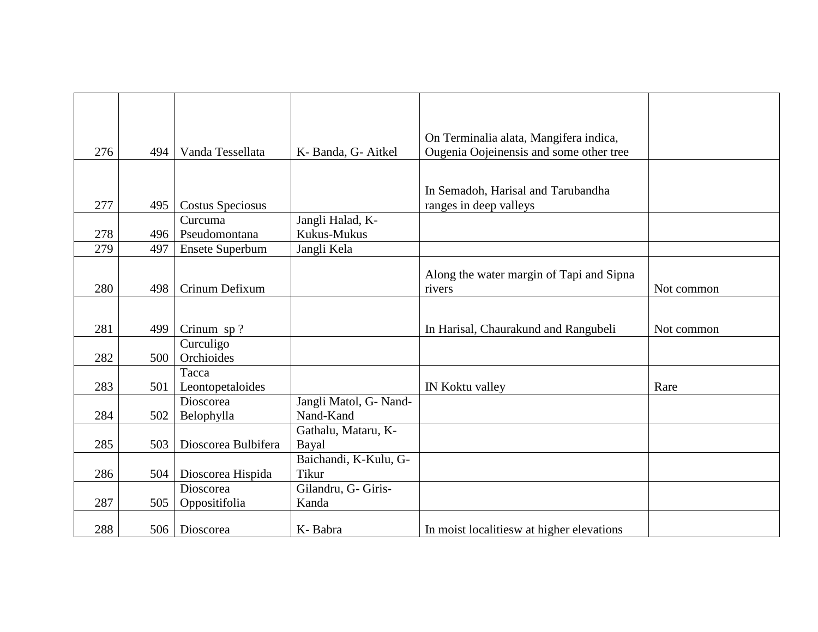|     |     |                         |                        | On Terminalia alata, Mangifera indica,             |            |
|-----|-----|-------------------------|------------------------|----------------------------------------------------|------------|
| 276 | 494 | Vanda Tessellata        | K-Banda, G-Aitkel      | Ougenia Oojeinensis and some other tree            |            |
|     |     |                         |                        |                                                    |            |
|     |     |                         |                        | In Semadoh, Harisal and Tarubandha                 |            |
| 277 | 495 | <b>Costus Speciosus</b> |                        | ranges in deep valleys                             |            |
|     |     | Curcuma                 | Jangli Halad, K-       |                                                    |            |
| 278 | 496 | Pseudomontana           | Kukus-Mukus            |                                                    |            |
| 279 | 497 | <b>Ensete Superbum</b>  | Jangli Kela            |                                                    |            |
| 280 | 498 | Crinum Defixum          |                        | Along the water margin of Tapi and Sipna<br>rivers | Not common |
|     |     |                         |                        |                                                    |            |
| 281 | 499 | Crinum $sp$ ?           |                        | In Harisal, Chaurakund and Rangubeli               | Not common |
| 282 | 500 | Curculigo<br>Orchioides |                        |                                                    |            |
|     |     | Tacca                   |                        |                                                    |            |
| 283 | 501 | Leontopetaloides        |                        | IN Koktu valley                                    | Rare       |
|     |     | Dioscorea               | Jangli Matol, G- Nand- |                                                    |            |
| 284 | 502 | Belophylla              | Nand-Kand              |                                                    |            |
|     |     |                         | Gathalu, Mataru, K-    |                                                    |            |
| 285 | 503 | Dioscorea Bulbifera     | Bayal                  |                                                    |            |
|     |     |                         | Baichandi, K-Kulu, G-  |                                                    |            |
| 286 | 504 | Dioscorea Hispida       | <b>Tikur</b>           |                                                    |            |
|     |     | Dioscorea               | Gilandru, G- Giris-    |                                                    |            |
| 287 | 505 | Oppositifolia           | Kanda                  |                                                    |            |
| 288 | 506 | Dioscorea               | K-Babra                | In moist localities wat higher elevations          |            |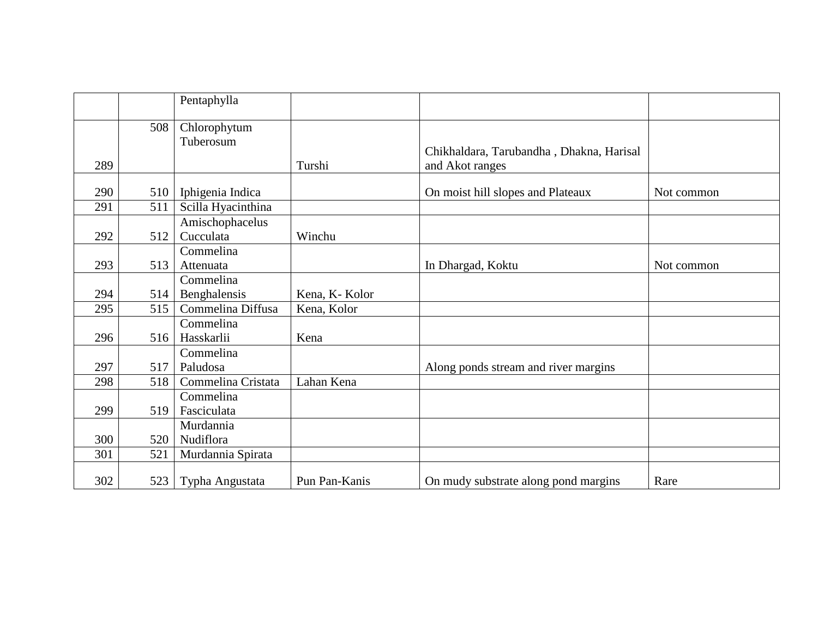|     |     | Pentaphylla                  |                |                                                             |            |
|-----|-----|------------------------------|----------------|-------------------------------------------------------------|------------|
| 289 | 508 | Chlorophytum<br>Tuberosum    | Turshi         | Chikhaldara, Tarubandha, Dhakna, Harisal<br>and Akot ranges |            |
| 290 | 510 | Iphigenia Indica             |                | On moist hill slopes and Plateaux                           | Not common |
| 291 | 511 | Scilla Hyacinthina           |                |                                                             |            |
| 292 | 512 | Amischophacelus<br>Cucculata | Winchu         |                                                             |            |
|     |     | Commelina                    |                |                                                             |            |
| 293 | 513 | Attenuata                    |                | In Dhargad, Koktu                                           | Not common |
|     |     | Commelina                    |                |                                                             |            |
| 294 | 514 | Benghalensis                 | Kena, K- Kolor |                                                             |            |
| 295 | 515 | Commelina Diffusa            | Kena, Kolor    |                                                             |            |
| 296 | 516 | Commelina<br>Hasskarlii      | Kena           |                                                             |            |
|     |     | Commelina                    |                |                                                             |            |
| 297 | 517 | Paludosa                     |                | Along ponds stream and river margins                        |            |
| 298 | 518 | Commelina Cristata           | Lahan Kena     |                                                             |            |
|     |     | Commelina                    |                |                                                             |            |
| 299 | 519 | Fasciculata                  |                |                                                             |            |
|     |     | Murdannia                    |                |                                                             |            |
| 300 | 520 | Nudiflora                    |                |                                                             |            |
| 301 | 521 | Murdannia Spirata            |                |                                                             |            |
| 302 | 523 | Typha Angustata              | Pun Pan-Kanis  | On mudy substrate along pond margins                        | Rare       |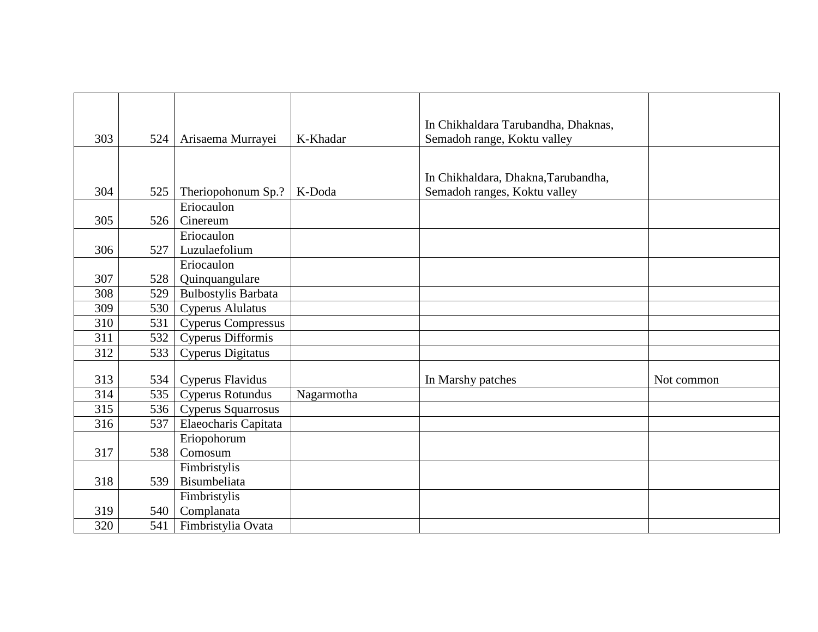|     |     |                            |            | In Chikhaldara Tarubandha, Dhaknas,                                 |            |
|-----|-----|----------------------------|------------|---------------------------------------------------------------------|------------|
| 303 | 524 | Arisaema Murrayei          | K-Khadar   | Semadoh range, Koktu valley                                         |            |
|     |     |                            |            |                                                                     |            |
|     |     |                            |            |                                                                     |            |
| 304 | 525 | Theriopohonum Sp.?         | K-Doda     | In Chikhaldara, Dhakna, Tarubandha,<br>Semadoh ranges, Koktu valley |            |
|     |     | Eriocaulon                 |            |                                                                     |            |
|     |     |                            |            |                                                                     |            |
| 305 | 526 | Cinereum                   |            |                                                                     |            |
|     |     | Eriocaulon                 |            |                                                                     |            |
| 306 | 527 | Luzulaefolium              |            |                                                                     |            |
|     |     | Eriocaulon                 |            |                                                                     |            |
| 307 | 528 | Quinquangulare             |            |                                                                     |            |
| 308 | 529 | <b>Bulbostylis Barbata</b> |            |                                                                     |            |
| 309 | 530 | Cyperus Alulatus           |            |                                                                     |            |
| 310 | 531 | <b>Cyperus Compressus</b>  |            |                                                                     |            |
| 311 | 532 | Cyperus Difformis          |            |                                                                     |            |
| 312 | 533 | Cyperus Digitatus          |            |                                                                     |            |
|     |     |                            |            |                                                                     |            |
| 313 | 534 | Cyperus Flavidus           |            | In Marshy patches                                                   | Not common |
| 314 | 535 | Cyperus Rotundus           | Nagarmotha |                                                                     |            |
| 315 | 536 | Cyperus Squarrosus         |            |                                                                     |            |
| 316 | 537 | Elaeocharis Capitata       |            |                                                                     |            |
|     |     | Eriopohorum                |            |                                                                     |            |
| 317 | 538 | Comosum                    |            |                                                                     |            |
|     |     | Fimbristylis               |            |                                                                     |            |
| 318 | 539 | Bisumbeliata               |            |                                                                     |            |
|     |     | Fimbristylis               |            |                                                                     |            |
| 319 | 540 | Complanata                 |            |                                                                     |            |
| 320 | 541 | Fimbristylia Ovata         |            |                                                                     |            |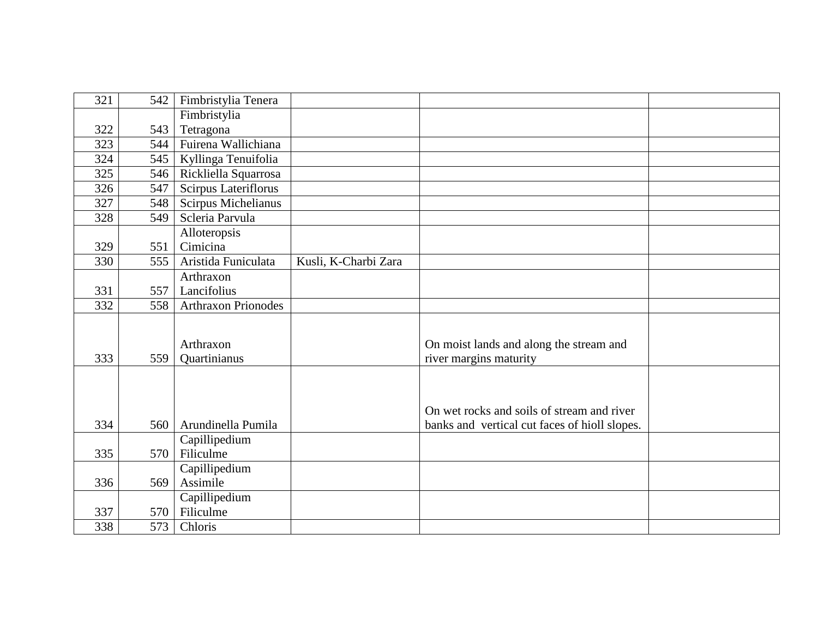| 321 | 542 | Fimbristylia Tenera        |                      |                                               |  |
|-----|-----|----------------------------|----------------------|-----------------------------------------------|--|
|     |     | Fimbristylia               |                      |                                               |  |
| 322 | 543 | Tetragona                  |                      |                                               |  |
| 323 | 544 | Fuirena Wallichiana        |                      |                                               |  |
| 324 | 545 | Kyllinga Tenuifolia        |                      |                                               |  |
| 325 | 546 | Rickliella Squarrosa       |                      |                                               |  |
| 326 | 547 | Scirpus Lateriflorus       |                      |                                               |  |
| 327 | 548 | Scirpus Michelianus        |                      |                                               |  |
| 328 | 549 | Scleria Parvula            |                      |                                               |  |
|     |     | Alloteropsis               |                      |                                               |  |
| 329 | 551 | Cimicina                   |                      |                                               |  |
| 330 | 555 | Aristida Funiculata        | Kusli, K-Charbi Zara |                                               |  |
|     |     | Arthraxon                  |                      |                                               |  |
| 331 | 557 | Lancifolius                |                      |                                               |  |
| 332 | 558 | <b>Arthraxon Prionodes</b> |                      |                                               |  |
|     |     |                            |                      |                                               |  |
|     |     |                            |                      |                                               |  |
|     |     | Arthraxon                  |                      | On moist lands and along the stream and       |  |
| 333 | 559 | Quartinianus               |                      | river margins maturity                        |  |
|     |     |                            |                      |                                               |  |
|     |     |                            |                      |                                               |  |
|     |     |                            |                      | On wet rocks and soils of stream and river    |  |
| 334 | 560 | Arundinella Pumila         |                      | banks and vertical cut faces of hioll slopes. |  |
|     |     | Capillipedium              |                      |                                               |  |
| 335 | 570 | Filiculme                  |                      |                                               |  |
|     |     | Capillipedium              |                      |                                               |  |
| 336 | 569 | Assimile                   |                      |                                               |  |
|     |     | Capillipedium              |                      |                                               |  |
| 337 | 570 | Filiculme                  |                      |                                               |  |
| 338 | 573 | Chloris                    |                      |                                               |  |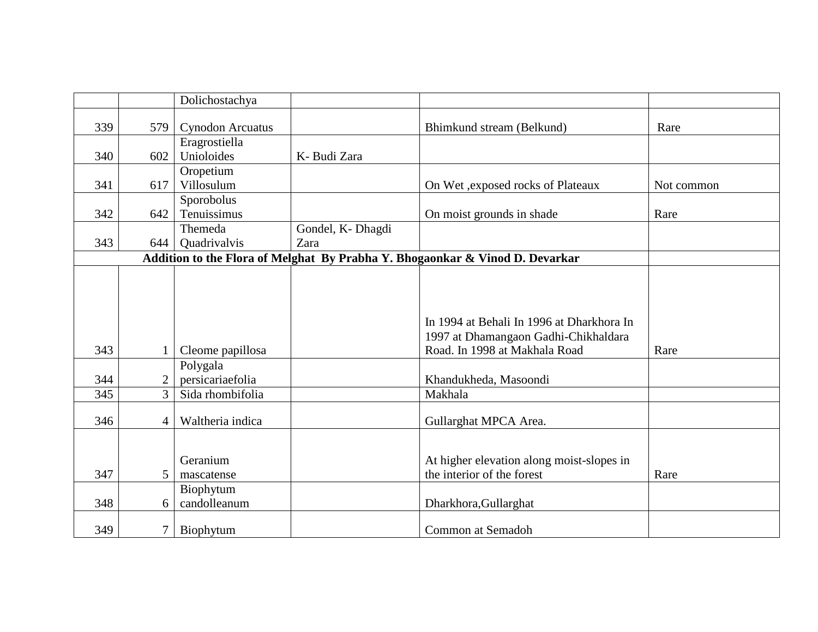|     |                | Dolichostachya          |                   |                                                                              |            |
|-----|----------------|-------------------------|-------------------|------------------------------------------------------------------------------|------------|
| 339 | 579            | <b>Cynodon Arcuatus</b> |                   | Bhimkund stream (Belkund)                                                    | Rare       |
|     |                | Eragrostiella           |                   |                                                                              |            |
| 340 | 602            | Unioloides              | K- Budi Zara      |                                                                              |            |
|     |                | Oropetium               |                   |                                                                              |            |
| 341 | 617            | Villosulum              |                   | On Wet , exposed rocks of Plateaux                                           | Not common |
|     |                | Sporobolus              |                   |                                                                              |            |
| 342 | 642            | Tenuissimus             |                   | On moist grounds in shade                                                    | Rare       |
|     |                | Themeda                 | Gondel, K- Dhagdi |                                                                              |            |
| 343 | 644            | Quadrivalvis            | Zara              |                                                                              |            |
|     |                |                         |                   | Addition to the Flora of Melghat By Prabha Y. Bhogaonkar & Vinod D. Devarkar |            |
|     |                |                         |                   |                                                                              |            |
|     |                |                         |                   |                                                                              |            |
|     |                |                         |                   |                                                                              |            |
|     |                |                         |                   | In 1994 at Behali In 1996 at Dharkhora In                                    |            |
|     |                |                         |                   | 1997 at Dhamangaon Gadhi-Chikhaldara                                         |            |
| 343 |                | Cleome papillosa        |                   | Road. In 1998 at Makhala Road                                                | Rare       |
|     |                | Polygala                |                   |                                                                              |            |
| 344 | $\overline{2}$ | persicariaefolia        |                   | Khandukheda, Masoondi                                                        |            |
| 345 | 3              | Sida rhombifolia        |                   | Makhala                                                                      |            |
| 346 | 4              | Waltheria indica        |                   | Gullarghat MPCA Area.                                                        |            |
|     |                |                         |                   |                                                                              |            |
|     |                |                         |                   |                                                                              |            |
|     |                | Geranium                |                   | At higher elevation along moist-slopes in                                    |            |
| 347 |                | mascatense              |                   | the interior of the forest                                                   | Rare       |
|     |                | Biophytum               |                   |                                                                              |            |
| 348 | 6              | candolleanum            |                   | Dharkhora, Gullarghat                                                        |            |
| 349 | 7              | Biophytum               |                   | Common at Semadoh                                                            |            |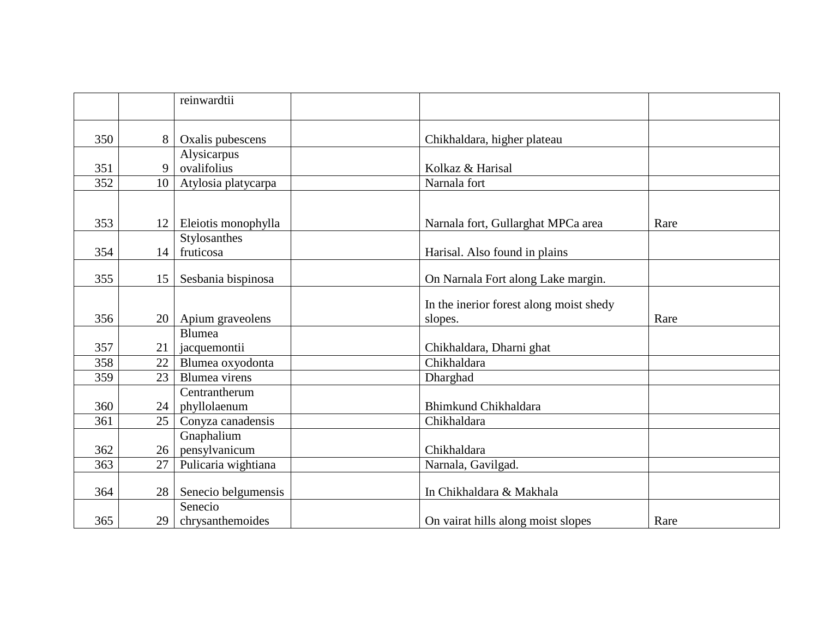|     |                 | reinwardtii         |                                                    |      |
|-----|-----------------|---------------------|----------------------------------------------------|------|
| 350 | 8               | Oxalis pubescens    | Chikhaldara, higher plateau                        |      |
|     |                 | Alysicarpus         |                                                    |      |
| 351 | 9               | ovalifolius         | Kolkaz & Harisal                                   |      |
| 352 | 10              | Atylosia platycarpa | Narnala fort                                       |      |
|     |                 |                     |                                                    |      |
| 353 | 12 <sub>1</sub> | Eleiotis monophylla | Narnala fort, Gullarghat MPCa area                 | Rare |
|     |                 | Stylosanthes        |                                                    |      |
| 354 | 14              | fruticosa           | Harisal. Also found in plains                      |      |
| 355 | 15              | Sesbania bispinosa  | On Narnala Fort along Lake margin.                 |      |
| 356 | 20              | Apium graveolens    | In the inerior forest along moist shedy<br>slopes. | Rare |
|     |                 | Blumea              |                                                    |      |
| 357 | 21              | jacquemontii        | Chikhaldara, Dharni ghat                           |      |
| 358 | 22              | Blumea oxyodonta    | Chikhaldara                                        |      |
| 359 | 23              | Blumea virens       | Dharghad                                           |      |
|     |                 | Centrantherum       |                                                    |      |
| 360 | 24              | phyllolaenum        | Bhimkund Chikhaldara                               |      |
| 361 | $25 \mid$       | Conyza canadensis   | Chikhaldara                                        |      |
|     |                 | Gnaphalium          |                                                    |      |
| 362 | 26 <sup>1</sup> | pensylvanicum       | Chikhaldara                                        |      |
| 363 | 27              | Pulicaria wightiana | Narnala, Gavilgad.                                 |      |
| 364 | 28              | Senecio belgumensis | In Chikhaldara & Makhala                           |      |
|     |                 | Senecio             |                                                    |      |
| 365 | 29              | chrysanthemoides    | On vairat hills along moist slopes                 | Rare |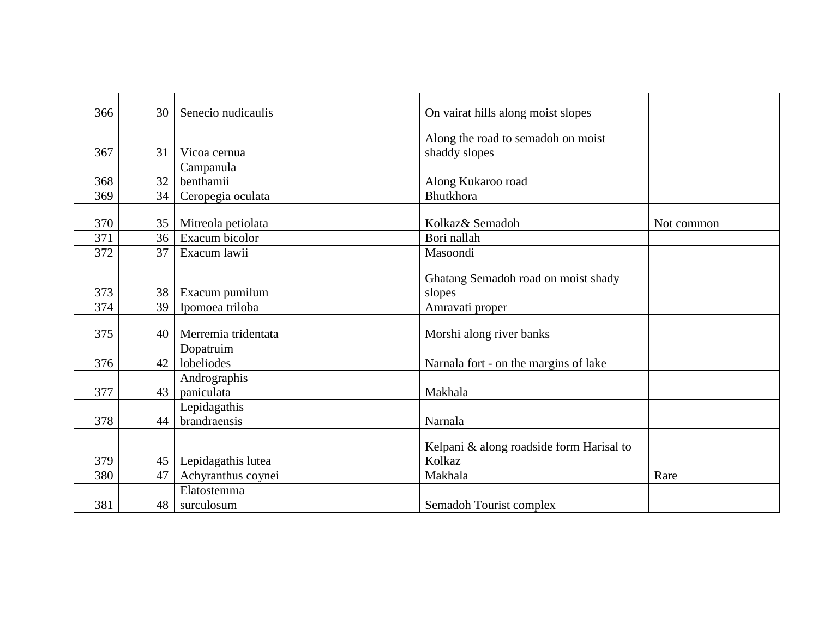| 366 | 30              | Senecio nudicaulis      | On vairat hills along moist slopes       |            |
|-----|-----------------|-------------------------|------------------------------------------|------------|
|     |                 |                         |                                          |            |
|     |                 |                         | Along the road to semadoh on moist       |            |
| 367 | 31              | Vicoa cernua            | shaddy slopes                            |            |
|     |                 | Campanula               |                                          |            |
| 368 | 32              | benthamii               | Along Kukaroo road                       |            |
| 369 | 34              | Ceropegia oculata       | Bhutkhora                                |            |
|     |                 |                         |                                          |            |
| 370 | 35              | Mitreola petiolata      | Kolkaz& Semadoh                          | Not common |
| 371 | 36              | Exacum bicolor          | Bori nallah                              |            |
| 372 | 37              | Exacum lawii            | Masoondi                                 |            |
|     |                 |                         |                                          |            |
|     |                 |                         | Ghatang Semadoh road on moist shady      |            |
| 373 | 38 <sup>1</sup> | Exacum pumilum          | slopes                                   |            |
| 374 | 39              | Ipomoea triloba         | Amravati proper                          |            |
|     |                 |                         |                                          |            |
| 375 | 40              | Merremia tridentata     | Morshi along river banks                 |            |
|     |                 | Dopatruim               |                                          |            |
| 376 | 42              | lobeliodes              | Narnala fort - on the margins of lake    |            |
|     |                 | Andrographis            |                                          |            |
| 377 | 43              | paniculata              | Makhala                                  |            |
|     |                 | Lepidagathis            |                                          |            |
| 378 | 44              | brandraensis            | Narnala                                  |            |
|     |                 |                         |                                          |            |
|     |                 |                         | Kelpani & along roadside form Harisal to |            |
| 379 |                 | 45   Lepidagathis lutea | Kolkaz                                   |            |
| 380 | 47              | Achyranthus coynei      | Makhala                                  | Rare       |
|     |                 | Elatostemma             |                                          |            |
| 381 | 48              | surculosum              | Semadoh Tourist complex                  |            |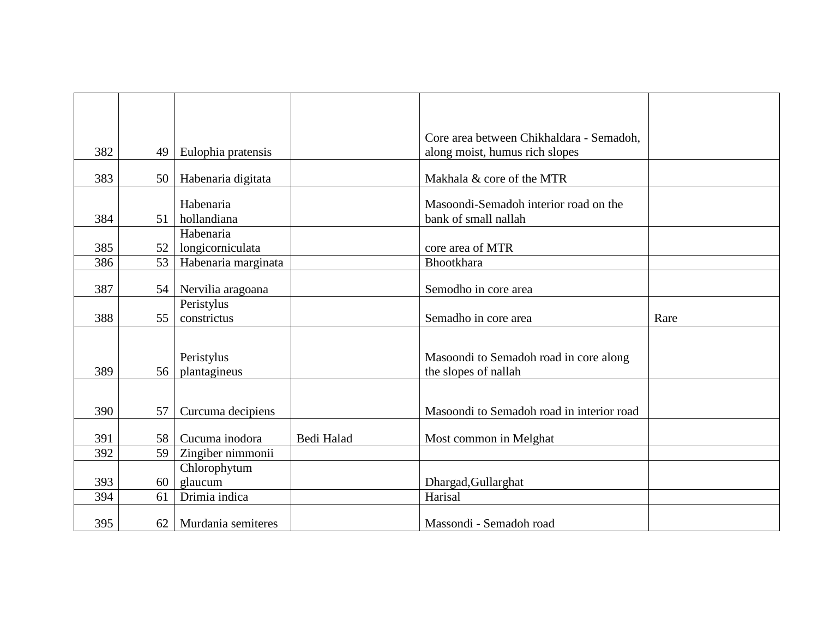|     |                 |                     |            | Core area between Chikhaldara - Semadoh,  |      |
|-----|-----------------|---------------------|------------|-------------------------------------------|------|
| 382 | 49              |                     |            |                                           |      |
|     |                 | Eulophia pratensis  |            | along moist, humus rich slopes            |      |
| 383 | 50              | Habenaria digitata  |            | Makhala & core of the MTR                 |      |
|     |                 |                     |            |                                           |      |
|     |                 | Habenaria           |            | Masoondi-Semadoh interior road on the     |      |
| 384 | 51              | hollandiana         |            | bank of small nallah                      |      |
|     |                 | Habenaria           |            |                                           |      |
| 385 | 52              | longicorniculata    |            | core area of MTR                          |      |
| 386 | 53              | Habenaria marginata |            | <b>Bhootkhara</b>                         |      |
|     |                 |                     |            |                                           |      |
| 387 | 54              | Nervilia aragoana   |            | Semodho in core area                      |      |
|     |                 | Peristylus          |            |                                           |      |
| 388 | 55              | constrictus         |            | Semadho in core area                      | Rare |
|     |                 |                     |            |                                           |      |
|     |                 |                     |            |                                           |      |
|     |                 | Peristylus          |            | Masoondi to Semadoh road in core along    |      |
| 389 | 56 <sup>1</sup> | plantagineus        |            | the slopes of nallah                      |      |
|     |                 |                     |            |                                           |      |
| 390 | 57              |                     |            | Masoondi to Semadoh road in interior road |      |
|     |                 | Curcuma decipiens   |            |                                           |      |
| 391 | 58              | Cucuma inodora      | Bedi Halad | Most common in Melghat                    |      |
| 392 | 59              | Zingiber nimmonii   |            |                                           |      |
|     |                 | Chlorophytum        |            |                                           |      |
| 393 | 60              | glaucum             |            | Dhargad, Gullarghat                       |      |
| 394 | 61              | Drimia indica       |            | Harisal                                   |      |
|     |                 |                     |            |                                           |      |
| 395 | 62              | Murdania semiteres  |            | Massondi - Semadoh road                   |      |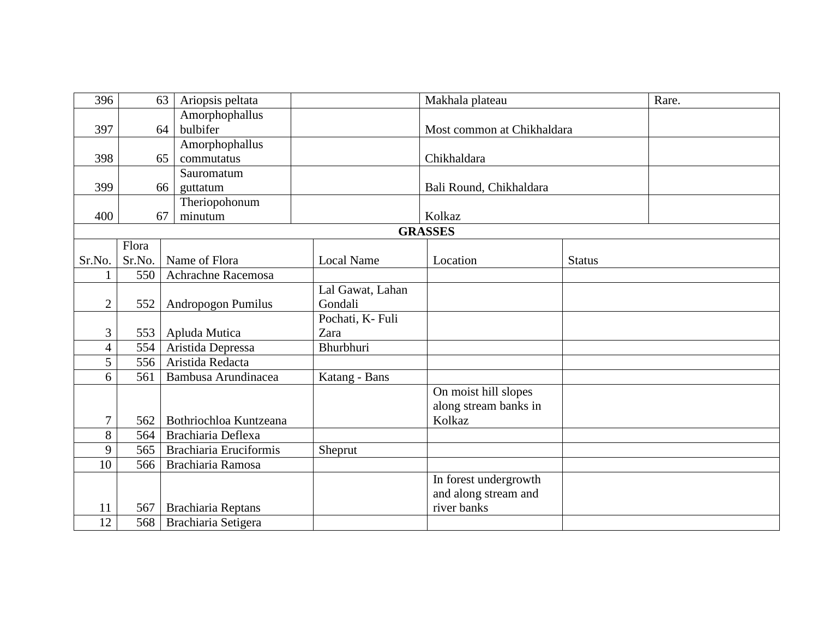| 396            |        | 63<br>Ariopsis peltata    |                   | Makhala plateau            |               | Rare. |
|----------------|--------|---------------------------|-------------------|----------------------------|---------------|-------|
|                |        | Amorphophallus            |                   |                            |               |       |
| 397            |        | bulbifer<br>64            |                   | Most common at Chikhaldara |               |       |
|                |        | Amorphophallus            |                   |                            |               |       |
| 398            | 65     | commutatus                |                   | Chikhaldara                |               |       |
|                |        | Sauromatum                |                   |                            |               |       |
| 399            |        | 66<br>guttatum            |                   | Bali Round, Chikhaldara    |               |       |
|                |        | Theriopohonum             |                   |                            |               |       |
| 400            | 67     | minutum                   |                   | Kolkaz                     |               |       |
|                |        |                           |                   | <b>GRASSES</b>             |               |       |
|                | Flora  |                           |                   |                            |               |       |
| Sr.No.         | Sr.No. | Name of Flora             | <b>Local Name</b> | Location                   | <b>Status</b> |       |
|                | 550    | Achrachne Racemosa        |                   |                            |               |       |
|                |        |                           | Lal Gawat, Lahan  |                            |               |       |
| $\overline{2}$ | 552    | Andropogon Pumilus        | Gondali           |                            |               |       |
|                |        |                           | Pochati, K- Fuli  |                            |               |       |
| $\mathfrak{Z}$ | 553    | Apluda Mutica             | Zara              |                            |               |       |
| $\overline{4}$ | 554    | Aristida Depressa         | Bhurbhuri         |                            |               |       |
| 5              | 556    | Aristida Redacta          |                   |                            |               |       |
| 6              | 561    | Bambusa Arundinacea       | Katang - Bans     |                            |               |       |
|                |        |                           |                   | On moist hill slopes       |               |       |
|                |        |                           |                   | along stream banks in      |               |       |
| 7              | 562    | Bothriochloa Kuntzeana    |                   | Kolkaz                     |               |       |
| 8              | 564    | Brachiaria Deflexa        |                   |                            |               |       |
| $\overline{9}$ | 565    | Brachiaria Eruciformis    | Sheprut           |                            |               |       |
| 10             | 566    | Brachiaria Ramosa         |                   |                            |               |       |
|                |        |                           |                   | In forest undergrowth      |               |       |
|                |        |                           |                   | and along stream and       |               |       |
| 11             | 567    | <b>Brachiaria Reptans</b> |                   | river banks                |               |       |
| 12             | 568    | Brachiaria Setigera       |                   |                            |               |       |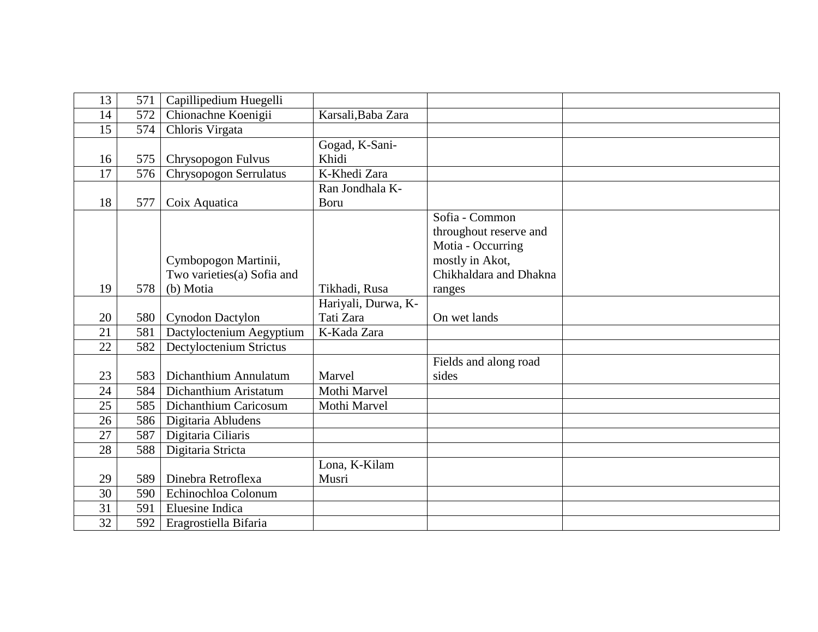| 13 | 571 | Capillipedium Huegelli     |                     |                        |  |
|----|-----|----------------------------|---------------------|------------------------|--|
| 14 | 572 | Chionachne Koenigii        | Karsali, Baba Zara  |                        |  |
| 15 | 574 | Chloris Virgata            |                     |                        |  |
|    |     |                            | Gogad, K-Sani-      |                        |  |
| 16 | 575 | Chrysopogon Fulvus         | Khidi               |                        |  |
| 17 | 576 | Chrysopogon Serrulatus     | K-Khedi Zara        |                        |  |
|    |     |                            | Ran Jondhala K-     |                        |  |
| 18 | 577 | Coix Aquatica              | Boru                |                        |  |
|    |     |                            |                     | Sofia - Common         |  |
|    |     |                            |                     | throughout reserve and |  |
|    |     |                            |                     | Motia - Occurring      |  |
|    |     | Cymbopogon Martinii,       |                     | mostly in Akot,        |  |
|    |     | Two varieties(a) Sofia and |                     | Chikhaldara and Dhakna |  |
| 19 | 578 | (b) Motia                  | Tikhadi, Rusa       | ranges                 |  |
|    |     |                            | Hariyali, Durwa, K- |                        |  |
| 20 | 580 | Cynodon Dactylon           | Tati Zara           | On wet lands           |  |
| 21 | 581 | Dactyloctenium Aegyptium   | K-Kada Zara         |                        |  |
| 22 | 582 | Dectyloctenium Strictus    |                     |                        |  |
|    |     |                            |                     | Fields and along road  |  |
| 23 | 583 | Dichanthium Annulatum      | Marvel              | sides                  |  |
| 24 | 584 | Dichanthium Aristatum      | Mothi Marvel        |                        |  |
| 25 | 585 | Dichanthium Caricosum      | Mothi Marvel        |                        |  |
| 26 | 586 | Digitaria Abludens         |                     |                        |  |
| 27 | 587 | Digitaria Ciliaris         |                     |                        |  |
| 28 | 588 | Digitaria Stricta          |                     |                        |  |
|    |     |                            | Lona, K-Kilam       |                        |  |
| 29 | 589 | Dinebra Retroflexa         | Musri               |                        |  |
| 30 | 590 | Echinochloa Colonum        |                     |                        |  |
| 31 | 591 | Eluesine Indica            |                     |                        |  |
| 32 | 592 | Eragrostiella Bifaria      |                     |                        |  |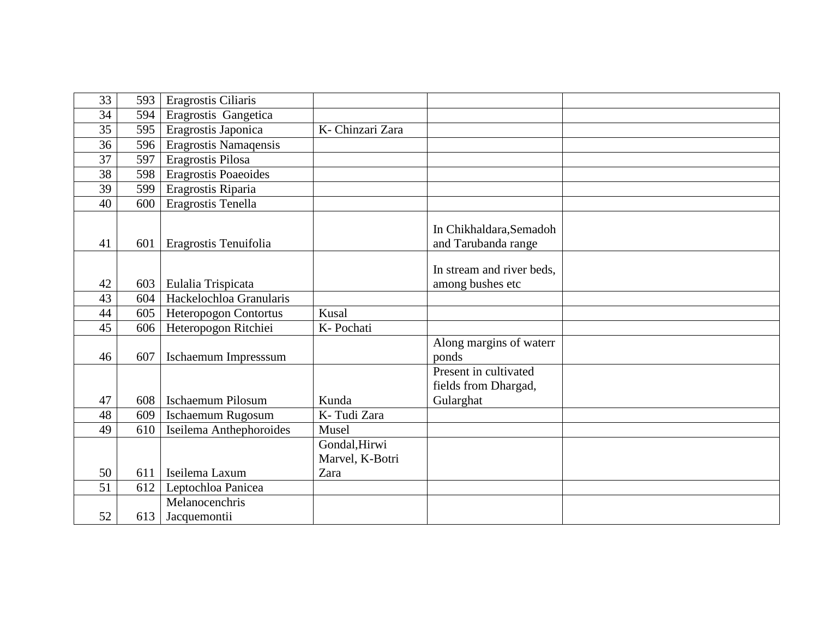| 33              | 593 | Eragrostis Ciliaris            |                                          |                                                |  |
|-----------------|-----|--------------------------------|------------------------------------------|------------------------------------------------|--|
| $\overline{34}$ | 594 | Eragrostis Gangetica           |                                          |                                                |  |
| $\overline{35}$ | 595 | Eragrostis Japonica            | K- Chinzari Zara                         |                                                |  |
| 36              | 596 | Eragrostis Namaqensis          |                                          |                                                |  |
| 37              | 597 | Eragrostis Pilosa              |                                          |                                                |  |
| 38              | 598 | <b>Eragrostis Poaeoides</b>    |                                          |                                                |  |
| 39              | 599 | Eragrostis Riparia             |                                          |                                                |  |
| 40              | 600 | Eragrostis Tenella             |                                          |                                                |  |
| 41              | 601 | Eragrostis Tenuifolia          |                                          | In Chikhaldara, Semadoh<br>and Tarubanda range |  |
| 42              | 603 | Eulalia Trispicata             |                                          | In stream and river beds,<br>among bushes etc  |  |
| 43              | 604 | Hackelochloa Granularis        |                                          |                                                |  |
| 44              | 605 | <b>Heteropogon Contortus</b>   | Kusal                                    |                                                |  |
| 45              | 606 | Heteropogon Ritchiei           | K-Pochati                                |                                                |  |
| 46              | 607 | Ischaemum Impresssum           |                                          | Along margins of waterr<br>ponds               |  |
|                 |     |                                |                                          | Present in cultivated<br>fields from Dhargad,  |  |
| 47              | 608 | <b>Ischaemum Pilosum</b>       | Kunda                                    | Gularghat                                      |  |
| 48              | 609 | Ischaemum Rugosum              | K-Tudi Zara                              |                                                |  |
| 49              | 610 | Iseilema Anthephoroides        | Musel                                    |                                                |  |
| 50              | 611 | Iseilema Laxum                 | Gondal, Hirwi<br>Marvel, K-Botri<br>Zara |                                                |  |
| 51              | 612 | Leptochloa Panicea             |                                          |                                                |  |
| 52              | 613 | Melanocenchris<br>Jacquemontii |                                          |                                                |  |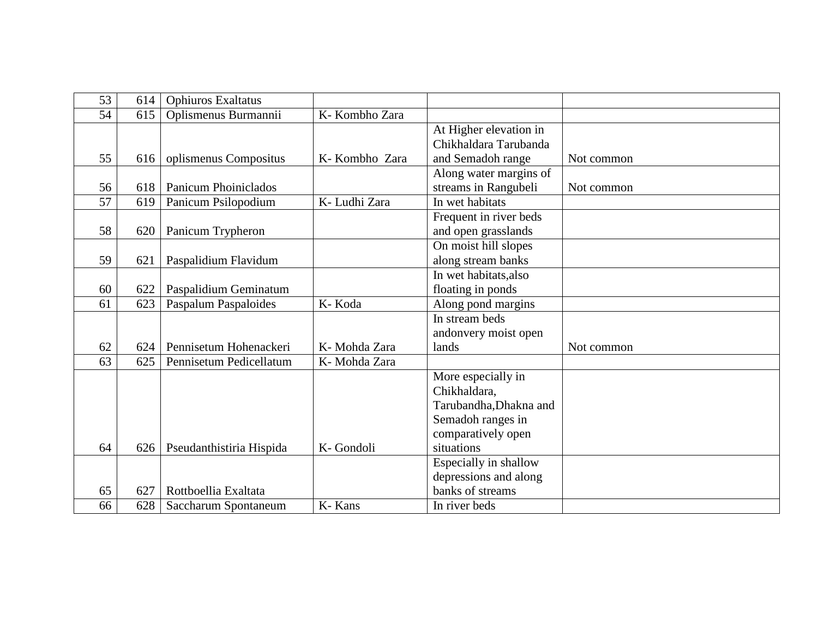| 53              | 614 | <b>Ophiuros Exaltatus</b> |               |                        |            |
|-----------------|-----|---------------------------|---------------|------------------------|------------|
| 54              | 615 | Oplismenus Burmannii      | K-Kombho Zara |                        |            |
|                 |     |                           |               | At Higher elevation in |            |
|                 |     |                           |               | Chikhaldara Tarubanda  |            |
| 55              | 616 | oplismenus Compositus     | K-Kombho Zara | and Semadoh range      | Not common |
|                 |     |                           |               | Along water margins of |            |
| 56              | 618 | Panicum Phoiniclados      |               | streams in Rangubeli   | Not common |
| $\overline{57}$ | 619 | Panicum Psilopodium       | K- Ludhi Zara | In wet habitats        |            |
|                 |     |                           |               | Frequent in river beds |            |
| 58              | 620 | Panicum Trypheron         |               | and open grasslands    |            |
|                 |     |                           |               | On moist hill slopes   |            |
| 59              | 621 | Paspalidium Flavidum      |               | along stream banks     |            |
|                 |     |                           |               | In wet habitats, also  |            |
| 60              | 622 | Paspalidium Geminatum     |               | floating in ponds      |            |
| 61              | 623 | Paspalum Paspaloides      | K-Koda        | Along pond margins     |            |
|                 |     |                           |               | In stream beds         |            |
|                 |     |                           |               | andonvery moist open   |            |
| 62              | 624 | Pennisetum Hohenackeri    | K-Mohda Zara  | lands                  | Not common |
| 63              | 625 | Pennisetum Pedicellatum   | K-Mohda Zara  |                        |            |
|                 |     |                           |               | More especially in     |            |
|                 |     |                           |               | Chikhaldara,           |            |
|                 |     |                           |               | Tarubandha, Dhakna and |            |
|                 |     |                           |               | Semadoh ranges in      |            |
|                 |     |                           |               | comparatively open     |            |
| 64              | 626 | Pseudanthistiria Hispida  | K-Gondoli     | situations             |            |
|                 |     |                           |               | Especially in shallow  |            |
|                 |     |                           |               | depressions and along  |            |
| 65              | 627 | Rottboellia Exaltata      |               | banks of streams       |            |
| 66              | 628 | Saccharum Spontaneum      | K-Kans        | In river beds          |            |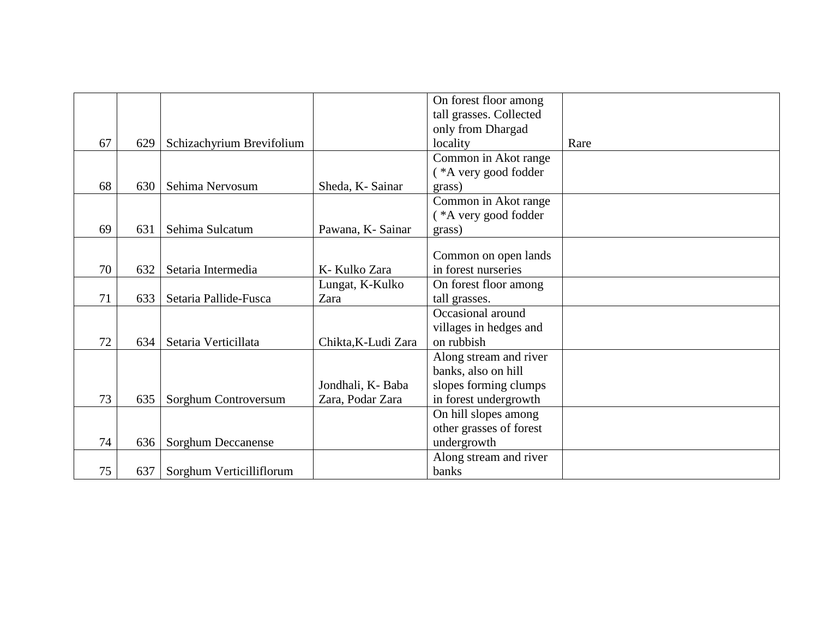|    |     |                           |                     | On forest floor among   |      |
|----|-----|---------------------------|---------------------|-------------------------|------|
|    |     |                           |                     | tall grasses. Collected |      |
|    |     |                           |                     | only from Dhargad       |      |
| 67 | 629 | Schizachyrium Brevifolium |                     | locality                | Rare |
|    |     |                           |                     | Common in Akot range    |      |
|    |     |                           |                     | (*A very good fodder    |      |
| 68 | 630 | Sehima Nervosum           | Sheda, K- Sainar    | grass)                  |      |
|    |     |                           |                     | Common in Akot range    |      |
|    |     |                           |                     | (*A very good fodder    |      |
| 69 | 631 | Sehima Sulcatum           | Pawana, K- Sainar   | grass)                  |      |
|    |     |                           |                     |                         |      |
|    |     |                           |                     | Common on open lands    |      |
| 70 | 632 | Setaria Intermedia        | K- Kulko Zara       | in forest nurseries     |      |
|    |     |                           | Lungat, K-Kulko     | On forest floor among   |      |
| 71 | 633 | Setaria Pallide-Fusca     | Zara                | tall grasses.           |      |
|    |     |                           |                     | Occasional around       |      |
|    |     |                           |                     | villages in hedges and  |      |
| 72 | 634 | Setaria Verticillata      | Chikta, K-Ludi Zara | on rubbish              |      |
|    |     |                           |                     | Along stream and river  |      |
|    |     |                           |                     | banks, also on hill     |      |
|    |     |                           | Jondhali, K-Baba    | slopes forming clumps   |      |
| 73 | 635 | Sorghum Controversum      | Zara, Podar Zara    | in forest undergrowth   |      |
|    |     |                           |                     | On hill slopes among    |      |
|    |     |                           |                     | other grasses of forest |      |
| 74 | 636 | <b>Sorghum Deccanense</b> |                     | undergrowth             |      |
|    |     |                           |                     | Along stream and river  |      |
| 75 | 637 | Sorghum Verticilliflorum  |                     | banks                   |      |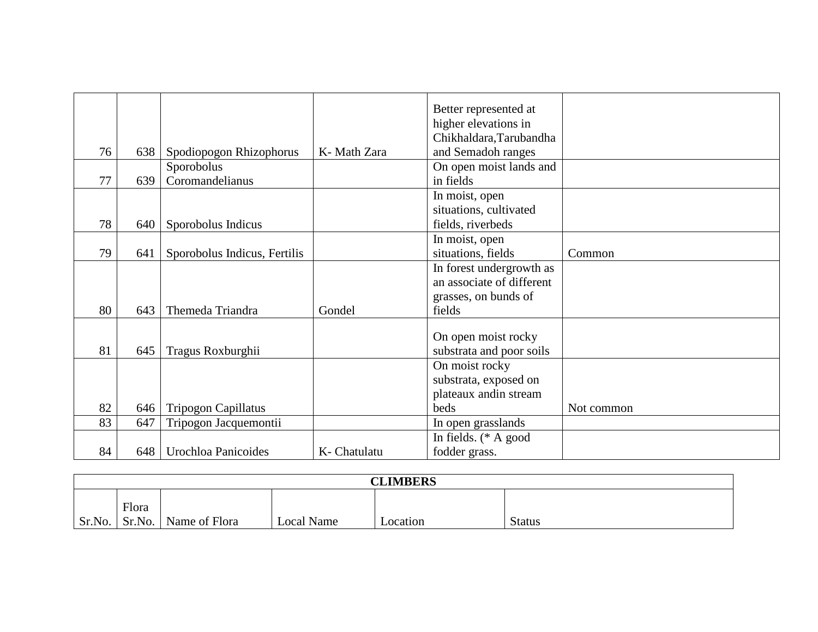|    |     |                              |              | Better represented at     |            |
|----|-----|------------------------------|--------------|---------------------------|------------|
|    |     |                              |              | higher elevations in      |            |
|    |     |                              |              | Chikhaldara, Tarubandha   |            |
| 76 | 638 | Spodiopogon Rhizophorus      | K-Math Zara  | and Semadoh ranges        |            |
|    |     | Sporobolus                   |              | On open moist lands and   |            |
| 77 | 639 | Coromandelianus              |              | in fields                 |            |
|    |     |                              |              | In moist, open            |            |
|    |     |                              |              | situations, cultivated    |            |
| 78 | 640 | Sporobolus Indicus           |              | fields, riverbeds         |            |
|    |     |                              |              | In moist, open            |            |
| 79 | 641 | Sporobolus Indicus, Fertilis |              | situations, fields        | Common     |
|    |     |                              |              | In forest undergrowth as  |            |
|    |     |                              |              | an associate of different |            |
|    |     |                              |              | grasses, on bunds of      |            |
| 80 | 643 | Themeda Triandra             | Gondel       | fields                    |            |
|    |     |                              |              |                           |            |
|    |     |                              |              | On open moist rocky       |            |
| 81 | 645 | Tragus Roxburghii            |              | substrata and poor soils  |            |
|    |     |                              |              | On moist rocky            |            |
|    |     |                              |              | substrata, exposed on     |            |
|    |     |                              |              | plateaux andin stream     |            |
| 82 | 646 | Tripogon Capillatus          |              | beds                      | Not common |
| 83 | 647 | Tripogon Jacquemontii        |              | In open grasslands        |            |
|    |     |                              |              | In fields. $(* A good)$   |            |
| 84 | 648 | Urochloa Panicoides          | K- Chatulatu | fodder grass.             |            |

| <b>CLIMBERS</b> |                             |            |          |               |  |  |  |
|-----------------|-----------------------------|------------|----------|---------------|--|--|--|
| Flora           |                             |            |          |               |  |  |  |
|                 | Sr.No. Sr.No. Name of Flora | Local Name | Location | <b>Status</b> |  |  |  |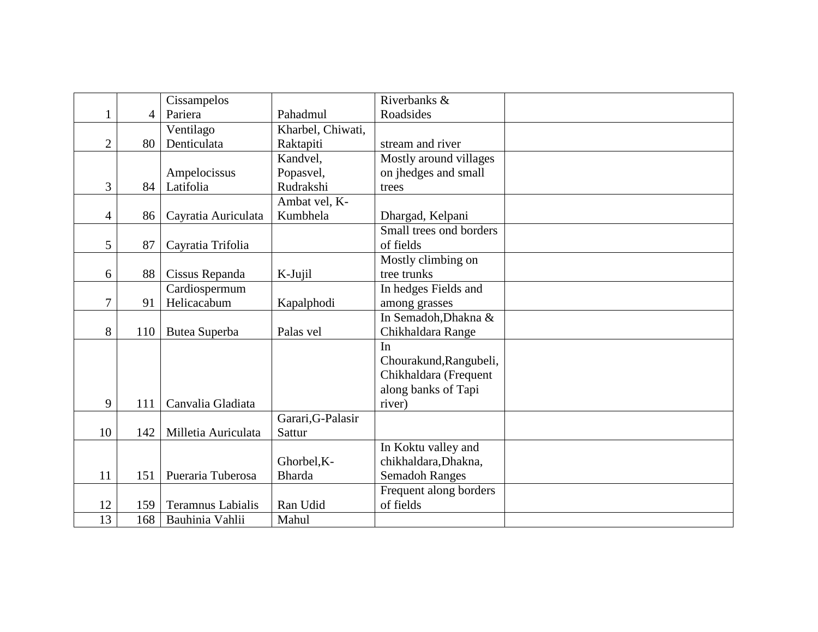|                |     | Cissampelos              |                   | Riverbanks &            |  |
|----------------|-----|--------------------------|-------------------|-------------------------|--|
| 1              | 4   | Pariera                  | Pahadmul          | Roadsides               |  |
|                |     | Ventilago                | Kharbel, Chiwati, |                         |  |
| $\overline{2}$ | 80  | Denticulata              | Raktapiti         | stream and river        |  |
|                |     |                          | Kandvel,          | Mostly around villages  |  |
|                |     | Ampelocissus             | Popasvel,         | on jhedges and small    |  |
| 3              | 84  | Latifolia                | Rudrakshi         | trees                   |  |
|                |     |                          | Ambat vel, K-     |                         |  |
| 4              | 86  | Cayratia Auriculata      | Kumbhela          | Dhargad, Kelpani        |  |
|                |     |                          |                   | Small trees ond borders |  |
| 5              | 87  | Cayratia Trifolia        |                   | of fields               |  |
|                |     |                          |                   | Mostly climbing on      |  |
| 6              | 88  | Cissus Repanda           | K-Jujil           | tree trunks             |  |
|                |     | Cardiospermum            |                   | In hedges Fields and    |  |
| 7              | 91  | Helicacabum              | Kapalphodi        | among grasses           |  |
|                |     |                          |                   | In Semadoh, Dhakna &    |  |
| 8              | 110 | Butea Superba            | Palas vel         | Chikhaldara Range       |  |
|                |     |                          |                   | In                      |  |
|                |     |                          |                   | Chourakund, Rangubeli,  |  |
|                |     |                          |                   | Chikhaldara (Frequent   |  |
|                |     |                          |                   | along banks of Tapi     |  |
| 9              | 111 | Canvalia Gladiata        |                   | river)                  |  |
|                |     |                          | Garari, G-Palasir |                         |  |
| 10             | 142 | Milletia Auriculata      | Sattur            |                         |  |
|                |     |                          |                   | In Koktu valley and     |  |
|                |     |                          | Ghorbel, K-       | chikhaldara, Dhakna,    |  |
| 11             | 151 | Pueraria Tuberosa        | <b>Bharda</b>     | <b>Semadoh Ranges</b>   |  |
|                |     |                          |                   | Frequent along borders  |  |
| 12             | 159 | <b>Teramnus Labialis</b> | Ran Udid          | of fields               |  |
| 13             | 168 | Bauhinia Vahlii          | Mahul             |                         |  |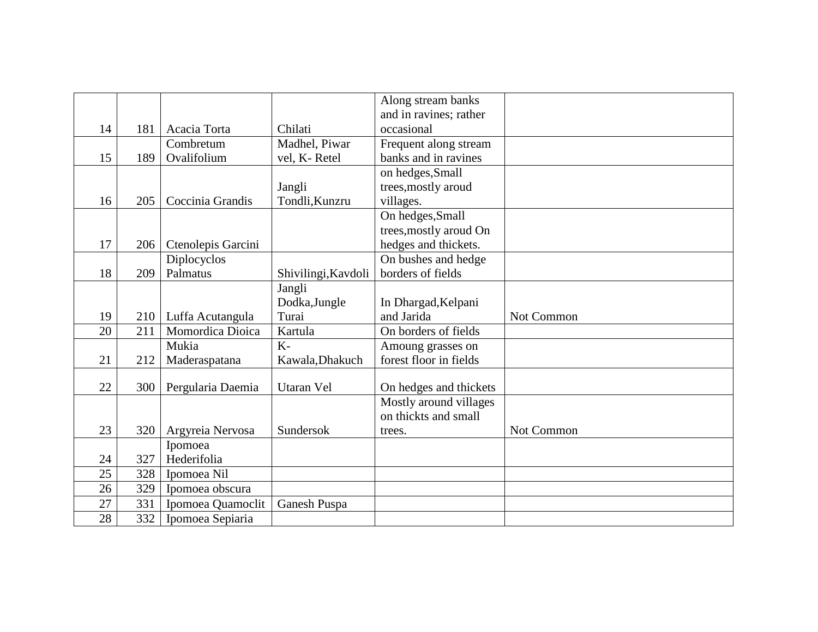|    |     |                    |                     | Along stream banks     |            |
|----|-----|--------------------|---------------------|------------------------|------------|
|    |     |                    |                     | and in ravines; rather |            |
| 14 | 181 | Acacia Torta       | Chilati             | occasional             |            |
|    |     | Combretum          | Madhel, Piwar       | Frequent along stream  |            |
| 15 | 189 | Ovalifolium        | vel, K-Retel        | banks and in ravines   |            |
|    |     |                    |                     | on hedges, Small       |            |
|    |     |                    | Jangli              | trees, mostly aroud    |            |
| 16 | 205 | Coccinia Grandis   | Tondli, Kunzru      | villages.              |            |
|    |     |                    |                     | On hedges, Small       |            |
|    |     |                    |                     | trees, mostly aroud On |            |
| 17 | 206 | Ctenolepis Garcini |                     | hedges and thickets.   |            |
|    |     | Diplocyclos        |                     | On bushes and hedge    |            |
| 18 | 209 | Palmatus           | Shivilingi, Kavdoli | borders of fields      |            |
|    |     |                    | Jangli              |                        |            |
|    |     |                    | Dodka, Jungle       | In Dhargad, Kelpani    |            |
| 19 | 210 | Luffa Acutangula   | Turai               | and Jarida             | Not Common |
| 20 | 211 | Momordica Dioica   | Kartula             | On borders of fields   |            |
|    |     | Mukia              | $K-$                | Amoung grasses on      |            |
| 21 | 212 | Maderaspatana      | Kawala, Dhakuch     | forest floor in fields |            |
|    |     |                    |                     |                        |            |
| 22 | 300 | Pergularia Daemia  | Utaran Vel          | On hedges and thickets |            |
|    |     |                    |                     | Mostly around villages |            |
|    |     |                    |                     | on thickts and small   |            |
| 23 | 320 | Argyreia Nervosa   | Sundersok           | trees.                 | Not Common |
|    |     | Ipomoea            |                     |                        |            |
| 24 | 327 | Hederifolia        |                     |                        |            |
| 25 | 328 | Ipomoea Nil        |                     |                        |            |
| 26 | 329 | Ipomoea obscura    |                     |                        |            |
| 27 | 331 | Ipomoea Quamoclit  | Ganesh Puspa        |                        |            |
| 28 | 332 | Ipomoea Sepiaria   |                     |                        |            |